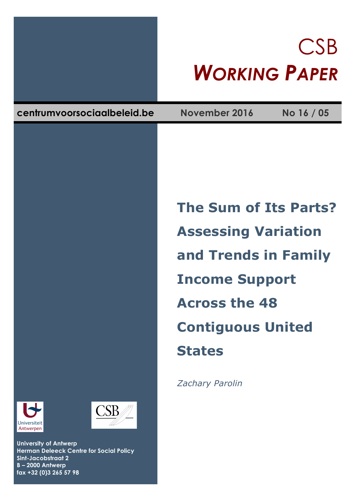# CSB *WORKING PAPER*

**centrumvoorsociaalbeleid.be November 2016 No 16 / 05**

**The Sum of Its Parts? Assessing Variation and Trends in Family Income Support Across the 48 Contiguous United States**

*Zachary Parolin*





**University of Antwerp Herman Deleeck Centre for Social Policy Sint-Jacobstraat 2 B – 2000 Antwerp fax +32 (0)3 265 57 98**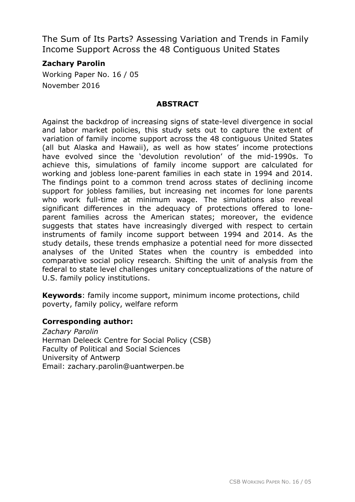The Sum of Its Parts? Assessing Variation and Trends in Family Income Support Across the 48 Contiguous United States

# **Zachary Parolin**

Working Paper No. 16 / 05 November 2016

## **ABSTRACT**

Against the backdrop of increasing signs of state-level divergence in social and labor market policies, this study sets out to capture the extent of variation of family income support across the 48 contiguous United States (all but Alaska and Hawaii), as well as how states' income protections have evolved since the 'devolution revolution' of the mid-1990s. To achieve this, simulations of family income support are calculated for working and jobless lone-parent families in each state in 1994 and 2014. The findings point to a common trend across states of declining income support for jobless families, but increasing net incomes for lone parents who work full-time at minimum wage. The simulations also reveal significant differences in the adequacy of protections offered to loneparent families across the American states; moreover, the evidence suggests that states have increasingly diverged with respect to certain instruments of family income support between 1994 and 2014. As the study details, these trends emphasize a potential need for more dissected analyses of the United States when the country is embedded into comparative social policy research. Shifting the unit of analysis from the federal to state level challenges unitary conceptualizations of the nature of U.S. family policy institutions.

**Keywords**: family income support, minimum income protections, child poverty, family policy, welfare reform

### **Corresponding author:**

*Zachary Parolin* Herman Deleeck Centre for Social Policy (CSB) Faculty of Political and Social Sciences University of Antwerp Email: zachary.parolin@uantwerpen.be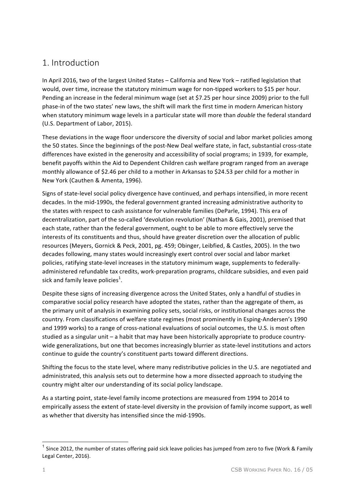# 1. Introduction

In April 2016, two of the largest United States – California and New York – ratified legislation that would, over time, increase the statutory minimum wage for non-tipped workers to \$15 per hour. Pending an increase in the federal minimum wage (set at \$7.25 per hour since 2009) prior to the full phase-in of the two states' new laws, the shift will mark the first time in modern American history when statutory minimum wage levels in a particular state will more than *double* the federal standard (U.S. Department of Labor, 2015).

These deviations in the wage floor underscore the diversity of social and labor market policies among the 50 states. Since the beginnings of the post-New Deal welfare state, in fact, substantial cross-state differences have existed in the generosity and accessibility of social programs; in 1939, for example, benefit payoffs within the Aid to Dependent Children cash welfare program ranged from an average monthly allowance of \$2.46 per child to a mother in Arkansas to \$24.53 per child for a mother in New York (Cauthen & Amenta, 1996).

Signs of state-level social policy divergence have continued, and perhaps intensified, in more recent decades. In the mid-1990s, the federal government granted increasing administrative authority to the states with respect to cash assistance for vulnerable families (DeParle, 1994). This era of decentralization, part of the so-called 'devolution revolution' (Nathan & Gais, 2001), premised that each state, rather than the federal government, ought to be able to more effectively serve the interests of its constituents and thus, should have greater discretion over the allocation of public resources (Meyers, Gornick & Peck, 2001, pg. 459; Obinger, Leibfied, & Castles, 2005). In the two decades following, many states would increasingly exert control over social and labor market policies, ratifying state-level increases in the statutory minimum wage, supplements to federallyadministered refundable tax credits, work-preparation programs, childcare subsidies, and even paid sick and family leave policies<sup>1</sup>.

Despite these signs of increasing divergence across the United States, only a handful of studies in comparative social policy research have adopted the states, rather than the aggregate of them, as the primary unit of analysis in examining policy sets, social risks, or institutional changes across the country. From classifications of welfare state regimes (most prominently in Esping-Andersen's 1990 and 1999 works) to a range of cross-national evaluations of social outcomes, the U.S. is most often studied as a singular unit  $-$  a habit that may have been historically appropriate to produce countrywide generalizations, but one that becomes increasingly blurrier as state-level institutions and actors continue to guide the country's constituent parts toward different directions.

Shifting the focus to the state level, where many redistributive policies in the U.S. are negotiated and administrated, this analysis sets out to determine how a more dissected approach to studying the country might alter our understanding of its social policy landscape.

As a starting point, state-level family income protections are measured from 1994 to 2014 to empirically assess the extent of state-level diversity in the provision of family income support, as well as whether that diversity has intensified since the mid-1990s.

<sup>&</sup>lt;sup>1</sup> Since 2012, the number of states offering paid sick leave policies has iumped from zero to five (Work & Family Legal Center, 2016).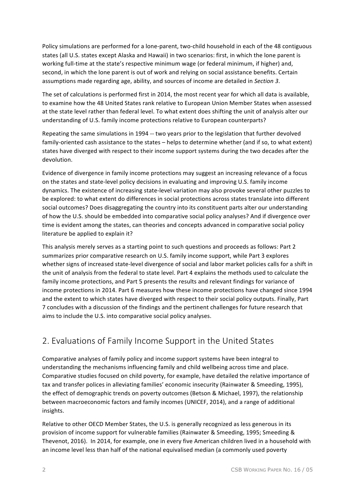Policy simulations are performed for a lone-parent, two-child household in each of the 48 contiguous states (all U.S. states except Alaska and Hawaii) in two scenarios: first, in which the lone parent is working full-time at the state's respective minimum wage (or federal minimum, if higher) and, second, in which the lone parent is out of work and relying on social assistance benefits. Certain assumptions made regarding age, ability, and sources of income are detailed in *Section 3*.

The set of calculations is performed first in 2014, the most recent year for which all data is available, to examine how the 48 United States rank relative to European Union Member States when assessed at the state level rather than federal level. To what extent does shifting the unit of analysis alter our understanding of U.S. family income protections relative to European counterparts?

Repeating the same simulations in 1994 -- two years prior to the legislation that further devolved family-oriented cash assistance to the states – helps to determine whether (and if so, to what extent) states have diverged with respect to their income support systems during the two decades after the devolution.

Evidence of divergence in family income protections may suggest an increasing relevance of a focus on the states and state-level policy decisions in evaluating and improving U.S. family income dynamics. The existence of increasing state-level variation may also provoke several other puzzles to be explored: to what extent do differences in social protections across states translate into different social outcomes? Does disaggregating the country into its constituent parts alter our understanding of how the U.S. should be embedded into comparative social policy analyses? And if divergence over time is evident among the states, can theories and concepts advanced in comparative social policy literature be applied to explain it?

This analysis merely serves as a starting point to such questions and proceeds as follows: Part 2 summarizes prior comparative research on U.S. family income support, while Part 3 explores whether signs of increased state-level divergence of social and labor market policies calls for a shift in the unit of analysis from the federal to state level. Part 4 explains the methods used to calculate the family income protections, and Part 5 presents the results and relevant findings for variance of income protections in 2014. Part 6 measures how these income protections have changed since 1994 and the extent to which states have diverged with respect to their social policy outputs. Finally, Part 7 concludes with a discussion of the findings and the pertinent challenges for future research that aims to include the U.S. into comparative social policy analyses.

# 2. Evaluations of Family Income Support in the United States

Comparative analyses of family policy and income support systems have been integral to understanding the mechanisms influencing family and child wellbeing across time and place. Comparative studies focused on child poverty, for example, have detailed the relative importance of tax and transfer polices in alleviating families' economic insecurity (Rainwater & Smeeding, 1995), the effect of demographic trends on poverty outcomes (Betson & Michael, 1997), the relationship between macroeconomic factors and family incomes (UNICEF, 2014), and a range of additional insights.

Relative to other OECD Member States, the U.S. is generally recognized as less generous in its provision of income support for vulnerable families (Rainwater & Smeeding, 1995; Smeeding & Thevenot, 2016). In 2014, for example, one in every five American children lived in a household with an income level less than half of the national equivalised median (a commonly used poverty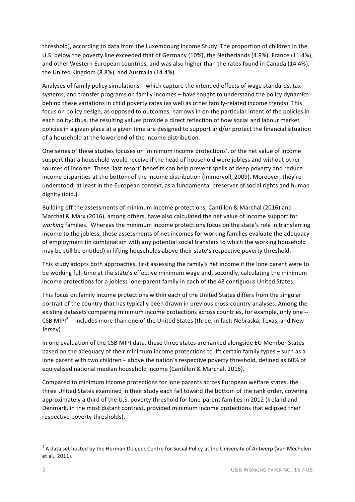threshold), according to data from the Luxembourg Income Study. The proportion of children in the U.S. below the poverty line exceeded that of Germany (10%), the Netherlands (4.9%), France (11.4%), and other Western European countries, and was also higher than the rates found in Canada (14.4%), the United Kingdom (8.8%), and Australia (14.4%).

Analyses of family policy simulations – which capture the intended effects of wage standards, tax systems, and transfer programs on family incomes - have sought to understand the policy dynamics behind these variations in child poverty rates (as well as other family-related income trends). This focus on policy design, as opposed to outcomes, narrows in on the particular intent of the policies in each polity; thus, the resulting values provide a direct reflection of how social and labour market policies in a given place at a given time are designed to support and/or protect the financial situation of a household at the lower end of the income distribution.

One series of these studies focuses on 'minimum income protections', or the net value of income support that a household would receive if the head of household were jobless and without other sources of income. These 'last resort' benefits can help prevent spells of deep poverty and reduce income disparities at the bottom of the income distribution (Immervoll, 2009). Moreover, they're understood, at least in the European context, as a fundamental preserver of social rights and human dignity (ibid.).

Building off the assessments of minimum income protections, Cantillon & Marchal (2016) and Marchal & Marx (2016), among others, have also calculated the net value of income support for working families. Whereas the minimum income protections focus on the state's role in transferring income to the jobless, these assessments of net incomes for working families evaluate the adequacy of employment (in combination with any potential social transfers to which the working household may be still be entitled) in lifting households above their state's respective poverty threshold.

This study adopts both approaches, first assessing the family's net income if the lone parent were to be working full-time at the state's effective minimum wage and, secondly, calculating the minimum income protections for a jobless lone-parent family in each of the 48 contiguous United States.

This focus on family income protections within each of the United States differs from the singular portrait of the country that has typically been drawn in previous cross-country analyses. Among the existing datasets comparing minimum income protections across countries, for example, only one --CSB MIPI<sup>2</sup> -- includes more than one of the United States (three, in fact: Nebraska, Texas, and New Jersey). 

In one evaluation of the CSB MIPI data, these three states are ranked alongside EU Member States based on the adequacy of their minimum income protections to lift certain family types – such as a lone parent with two children - above the nation's respective poverty threshold, defined as 60% of equivalised national median household income (Cantillon & Marchal, 2016).

Compared to minimum income protections for lone parents across European welfare states, the three United States examined in their study each fall toward the bottom of the rank order, covering approximately a third of the U.S. poverty threshold for lone-parent families in 2012 (Ireland and Denmark, in the most distant contrast, provided minimum income protections that eclipsed their respective poverty thresholds).

<u> 1989 - Johann Stein, fransk politik (d. 1989)</u>

 $2$  A data set hosted by the Herman Deleeck Centre for Social Policy at the University of Antwerp (Van Mechelen et al., 2011).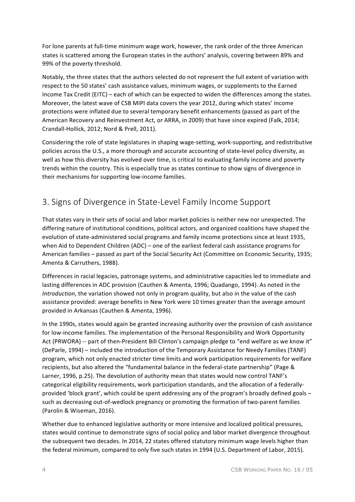For lone parents at full-time minimum wage work, however, the rank order of the three American states is scattered among the European states in the authors' analysis, covering between 89% and 99% of the poverty threshold.

Notably, the three states that the authors selected do not represent the full extent of variation with respect to the 50 states' cash assistance values, minimum wages, or supplements to the Earned Income Tax Credit (EITC) – each of which can be expected to widen the differences among the states. Moreover, the latest wave of CSB MIPI data covers the year 2012, during which states' income protections were inflated due to several temporary benefit enhancements (passed as part of the American Recovery and Reinvestment Act, or ARRA, in 2009) that have since expired (Falk, 2014; Crandall-Hollick, 2012; Nord & Prell, 2011).

Considering the role of state legislatures in shaping wage-setting, work-supporting, and redistributive policies across the U.S., a more thorough and accurate accounting of state-level policy diversity, as well as how this diversity has evolved over time, is critical to evaluating family income and poverty trends within the country. This is especially true as states continue to show signs of divergence in their mechanisms for supporting low-income families.

# 3. Signs of Divergence in State-Level Family Income Support

That states vary in their sets of social and labor market policies is neither new nor unexpected. The differing nature of institutional conditions, political actors, and organized coalitions have shaped the evolution of state-administered social programs and family income protections since at least 1935, when Aid to Dependent Children  $(ADC)$  – one of the earliest federal cash assistance programs for American families – passed as part of the Social Security Act (Committee on Economic Security, 1935; Amenta & Carruthers, 1988).

Differences in racial legacies, patronage systems, and administrative capacities led to immediate and lasting differences in ADC provision (Cauthen & Amenta, 1996; Quadango, 1994). As noted in the *Introduction*, the variation showed not only in program quality, but also in the value of the cash assistance provided: average benefits in New York were 10 times greater than the average amount provided in Arkansas (Cauthen & Amenta, 1996).

In the 1990s, states would again be granted increasing authority over the provision of cash assistance for low-income families. The implementation of the Personal Responsibility and Work Opportunity Act (PRWORA) -- part of then-President Bill Clinton's campaign pledge to "end welfare as we know it" (DeParle, 1994) – included the introduction of the Temporary Assistance for Needy Families (TANF) program, which not only enacted stricter time limits and work participation requirements for welfare recipients, but also altered the "fundamental balance in the federal-state partnership" (Page & Larner, 1996, p.25). The devolution of authority mean that states would now control TANF's categorical eligibility requirements, work participation standards, and the allocation of a federallyprovided 'block grant', which could be spent addressing any of the program's broadly defined goals – such as decreasing out-of-wedlock pregnancy or promoting the formation of two-parent families (Parolin & Wiseman, 2016).

Whether due to enhanced legislative authority or more intensive and localized political pressures, states would continue to demonstrate signs of social policy and labor market divergence throughout the subsequent two decades. In 2014, 22 states offered statutory minimum wage levels higher than the federal minimum, compared to only five such states in 1994 (U.S. Department of Labor, 2015).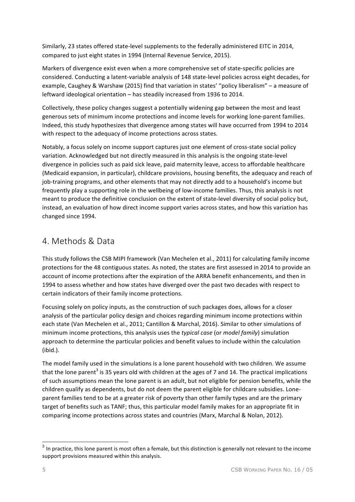Similarly, 23 states offered state-level supplements to the federally administered EITC in 2014, compared to just eight states in 1994 (Internal Revenue Service, 2015).

Markers of divergence exist even when a more comprehensive set of state-specific policies are considered. Conducting a latent-variable analysis of 148 state-level policies across eight decades, for example, Caughey & Warshaw (2015) find that variation in states' "policy liberalism" – a measure of leftward ideological orientation - has steadily increased from 1936 to 2014.

Collectively, these policy changes suggest a potentially widening gap between the most and least generous sets of minimum income protections and income levels for working lone-parent families. Indeed, this study hypothesizes that divergence among states will have occurred from 1994 to 2014 with respect to the adequacy of income protections across states.

Notably, a focus solely on income support captures just one element of cross-state social policy variation. Acknowledged but not directly measured in this analysis is the ongoing state-level divergence in policies such as paid sick leave, paid maternity leave, access to affordable healthcare (Medicaid expansion, in particular), childcare provisions, housing benefits, the adequacy and reach of job-training programs, and other elements that may not directly add to a household's income but frequently play a supporting role in the wellbeing of low-income families. Thus, this analysis is not meant to produce the definitive conclusion on the extent of state-level diversity of social policy but, instead, an evaluation of how direct income support varies across states, and how this variation has changed since 1994.

# 4. Methods & Data

This study follows the CSB MIPI framework (Van Mechelen et al., 2011) for calculating family income protections for the 48 contiguous states. As noted, the states are first assessed in 2014 to provide an account of income protections after the expiration of the ARRA benefit enhancements, and then in 1994 to assess whether and how states have diverged over the past two decades with respect to certain indicators of their family income protections.

Focusing solely on policy inputs, as the construction of such packages does, allows for a closer analysis of the particular policy design and choices regarding minimum income protections within each state (Van Mechelen et al., 2011; Cantillon & Marchal, 2016). Similar to other simulations of minimum income protections, this analysis uses the *typical case* (or *model family*) simulation approach to determine the particular policies and benefit values to include within the calculation (ibid.). 

The model family used in the simulations is a lone parent household with two children. We assume that the lone parent<sup>3</sup> is 35 years old with children at the ages of 7 and 14. The practical implications of such assumptions mean the lone parent is an adult, but not eligible for pension benefits, while the children qualify as dependents, but do not deem the parent eligible for childcare subsidies. Loneparent families tend to be at a greater risk of poverty than other family types and are the primary target of benefits such as TANF; thus, this particular model family makes for an appropriate fit in comparing income protections across states and countries (Marx, Marchal & Nolan, 2012).

 $3$  In practice, this lone parent is most often a female, but this distinction is generally not relevant to the income support provisions measured within this analysis.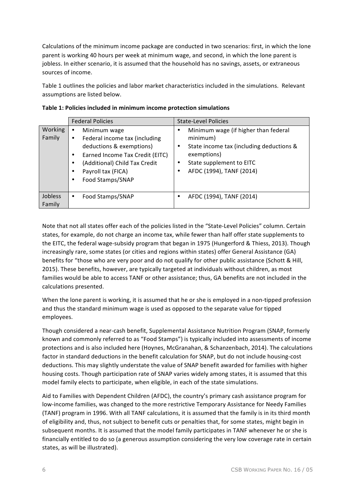Calculations of the minimum income package are conducted in two scenarios: first, in which the lone parent is working 40 hours per week at minimum wage, and second, in which the lone parent is jobless. In either scenario, it is assumed that the household has no savings, assets, or extraneous sources of income.

Table 1 outlines the policies and labor market characteristics included in the simulations. Relevant assumptions are listed below.

|                   | <b>Federal Policies</b>                                                                                                                                                                                                  | <b>State-Level Policies</b>                                                                                                                                              |
|-------------------|--------------------------------------------------------------------------------------------------------------------------------------------------------------------------------------------------------------------------|--------------------------------------------------------------------------------------------------------------------------------------------------------------------------|
| Working<br>Family | Minimum wage<br>٠<br>Federal income tax (including<br>٠<br>deductions & exemptions)<br>Earned Income Tax Credit (EITC)<br>$\bullet$<br>(Additional) Child Tax Credit<br>٠<br>Payroll tax (FICA)<br>Food Stamps/SNAP<br>٠ | Minimum wage (if higher than federal<br>minimum)<br>State income tax (including deductions &<br>exemptions)<br>State supplement to EITC<br>٠<br>AFDC (1994), TANF (2014) |
| Jobless<br>Family | Food Stamps/SNAP<br>٠                                                                                                                                                                                                    | AFDC (1994), TANF (2014)<br>٠                                                                                                                                            |

| Table 1: Policies included in minimum income protection simulations |  |  |  |
|---------------------------------------------------------------------|--|--|--|
|                                                                     |  |  |  |

Note that not all states offer each of the policies listed in the "State-Level Policies" column. Certain states, for example, do not charge an income tax, while fewer than half offer state supplements to the EITC, the federal wage-subsidy program that began in 1975 (Hungerford & Thiess, 2013). Though increasingly rare, some states (or cities and regions within states) offer General Assistance (GA) benefits for "those who are very poor and do not qualify for other public assistance (Schott & Hill, 2015). These benefits, however, are typically targeted at individuals without children, as most families would be able to access TANF or other assistance; thus, GA benefits are not included in the calculations presented.

When the lone parent is working, it is assumed that he or she is employed in a non-tipped profession and thus the standard minimum wage is used as opposed to the separate value for tipped employees.

Though considered a near-cash benefit, Supplemental Assistance Nutrition Program (SNAP, formerly known and commonly referred to as "Food Stamps") is typically included into assessments of income protections and is also included here (Hoynes, McGranahan, & Schanzenbach, 2014). The calculations factor in standard deductions in the benefit calculation for SNAP, but do not include housing-cost deductions. This may slightly understate the value of SNAP benefit awarded for families with higher housing costs. Though participation rate of SNAP varies widely among states, it is assumed that this model family elects to participate, when eligible, in each of the state simulations.

Aid to Families with Dependent Children (AFDC), the country's primary cash assistance program for low-income families, was changed to the more restrictive Temporary Assistance for Needy Families (TANF) program in 1996. With all TANF calculations, it is assumed that the family is in its third month of eligibility and, thus, not subject to benefit cuts or penalties that, for some states, might begin in subsequent months. It is assumed that the model family participates in TANF whenever he or she is financially entitled to do so (a generous assumption considering the very low coverage rate in certain states, as will be illustrated).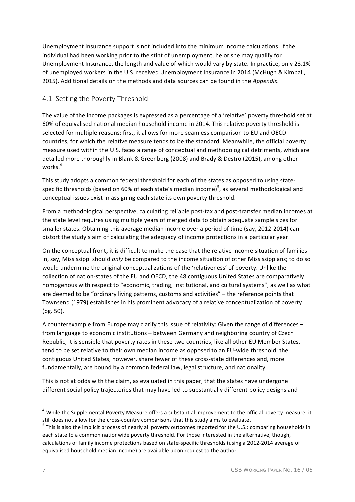Unemployment Insurance support is not included into the minimum income calculations. If the individual had been working prior to the stint of unemployment, he or she may qualify for Unemployment Insurance, the length and value of which would vary by state. In practice, only 23.1% of unemployed workers in the U.S. received Unemployment Insurance in 2014 (McHugh & Kimball, 2015). Additional details on the methods and data sources can be found in the *Appendix.* 

## 4.1. Setting the Poverty Threshold

The value of the income packages is expressed as a percentage of a 'relative' poverty threshold set at 60% of equivalised national median household income in 2014. This relative poverty threshold is selected for multiple reasons: first, it allows for more seamless comparison to EU and OECD countries, for which the relative measure tends to be the standard. Meanwhile, the official poverty measure used within the U.S. faces a range of conceptual and methodological detriments, which are detailed more thoroughly in Blank & Greenberg (2008) and Brady & Destro (2015), among other works. 4

This study adopts a common federal threshold for each of the states as opposed to using statespecific thresholds (based on 60% of each state's median income)<sup>5</sup>, as several methodological and conceptual issues exist in assigning each state its own poverty threshold.

From a methodological perspective, calculating reliable post-tax and post-transfer median incomes at the state level requires using multiple years of merged data to obtain adequate sample sizes for smaller states. Obtaining this average median income over a period of time (say, 2012-2014) can distort the study's aim of calculating the adequacy of income protections in a particular year.

On the conceptual front, it is difficult to make the case that the relative income situation of families in, say, Mississippi should *only* be compared to the income situation of other Mississippians; to do so would undermine the original conceptualizations of the 'relativeness' of poverty. Unlike the collection of nation-states of the EU and OECD, the 48 contiguous United States are comparatively homogenous with respect to "economic, trading, institutional, and cultural systems", as well as what are deemed to be "ordinary living patterns, customs and activities"  $-$  the reference points that Townsend (1979) establishes in his prominent advocacy of a relative conceptualization of poverty (pg. 50). 

A counterexample from Europe may clarify this issue of relativity: Given the range of differences – from language to economic institutions – between Germany and neighboring country of Czech Republic, it is sensible that poverty rates in these two countries, like all other EU Member States, tend to be set relative to their own median income as opposed to an EU-wide threshold; the contiguous United States, however, share fewer of these cross-state differences and, more fundamentally, are bound by a common federal law, legal structure, and nationality.

This is not at odds with the claim, as evaluated in this paper, that the states have undergone different social policy trajectories that may have led to substantially different policy designs and

<sup>&</sup>lt;sup>4</sup> While the Supplemental Poverty Measure offers a substantial improvement to the official poverty measure, it

still does not allow for the cross-country comparisons that this study aims to evaluate.<br>
<sup>5</sup> This is also the implicit process of nearly all poverty outcomes reported for the U.S.: comparing households in each state to a common nationwide poverty threshold. For those interested in the alternative, though, calculations of family income protections based on state-specific thresholds (using a 2012-2014 average of equivalised household median income) are available upon request to the author.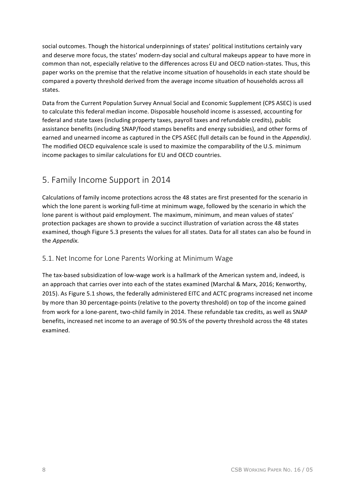social outcomes. Though the historical underpinnings of states' political institutions certainly vary and deserve more focus, the states' modern-day social and cultural makeups appear to have more in common than not, especially relative to the differences across EU and OECD nation-states. Thus, this paper works on the premise that the relative income situation of households in each state should be compared a poverty threshold derived from the average income situation of households across all states.

Data from the Current Population Survey Annual Social and Economic Supplement (CPS ASEC) is used to calculate this federal median income. Disposable household income is assessed, accounting for federal and state taxes (including property taxes, payroll taxes and refundable credits), public assistance benefits (including SNAP/food stamps benefits and energy subsidies), and other forms of earned and unearned income as captured in the CPS ASEC (full details can be found in the *Appendix)*. The modified OECD equivalence scale is used to maximize the comparability of the U.S. minimum income packages to similar calculations for EU and OECD countries.

# 5. Family Income Support in 2014

Calculations of family income protections across the 48 states are first presented for the scenario in which the lone parent is working full-time at minimum wage, followed by the scenario in which the lone parent is without paid employment. The maximum, minimum, and mean values of states' protection packages are shown to provide a succinct illustration of variation across the 48 states examined, though Figure 5.3 presents the values for all states. Data for all states can also be found in the *Appendix*.

### 5.1. Net Income for Lone Parents Working at Minimum Wage

The tax-based subsidization of low-wage work is a hallmark of the American system and, indeed, is an approach that carries over into each of the states examined (Marchal & Marx, 2016; Kenworthy, 2015). As Figure 5.1 shows, the federally administered EITC and ACTC programs increased net income by more than 30 percentage-points (relative to the poverty threshold) on top of the income gained from work for a lone-parent, two-child family in 2014. These refundable tax credits, as well as SNAP benefits, increased net income to an average of 90.5% of the poverty threshold across the 48 states examined.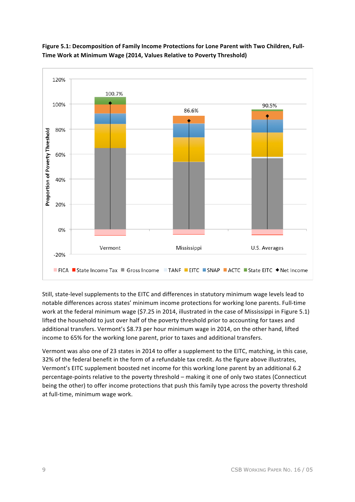



Still, state-level supplements to the EITC and differences in statutory minimum wage levels lead to notable differences across states' minimum income protections for working lone parents. Full-time work at the federal minimum wage (\$7.25 in 2014, illustrated in the case of Mississippi in Figure 5.1) lifted the household to just over half of the poverty threshold prior to accounting for taxes and additional transfers. Vermont's \$8.73 per hour minimum wage in 2014, on the other hand, lifted income to 65% for the working lone parent, prior to taxes and additional transfers.

Vermont was also one of 23 states in 2014 to offer a supplement to the EITC, matching, in this case, 32% of the federal benefit in the form of a refundable tax credit. As the figure above illustrates, Vermont's EITC supplement boosted net income for this working lone parent by an additional 6.2 percentage-points relative to the poverty threshold – making it one of only two states (Connecticut being the other) to offer income protections that push this family type across the poverty threshold at full-time, minimum wage work.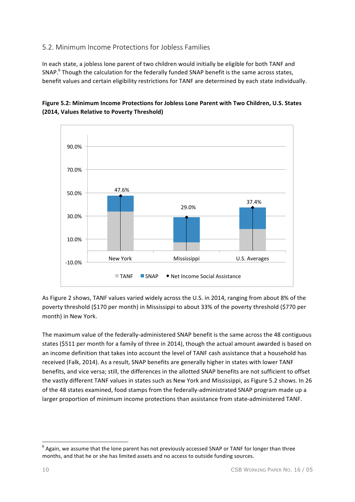## 5.2. Minimum Income Protections for Jobless Families

In each state, a jobless lone parent of two children would initially be eligible for both TANF and SNAP. $^6$  Though the calculation for the federally funded SNAP benefit is the same across states, benefit values and certain eligibility restrictions for TANF are determined by each state individually.





As Figure 2 shows, TANF values varied widely across the U.S. in 2014, ranging from about 8% of the poverty threshold (\$170 per month) in Mississippi to about 33% of the poverty threshold (\$770 per month) in New York.

The maximum value of the federally-administered SNAP benefit is the same across the 48 contiguous states (\$511 per month for a family of three in 2014), though the actual amount awarded is based on an income definition that takes into account the level of TANF cash assistance that a household has received (Falk, 2014). As a result, SNAP benefits are generally higher in states with lower TANF benefits, and vice versa; still, the differences in the allotted SNAP benefits are not sufficient to offset the vastly different TANF values in states such as New York and Mississippi, as Figure 5.2 shows. In 26 of the 48 states examined, food stamps from the federally-administrated SNAP program made up a larger proportion of minimum income protections than assistance from state-administered TANF.

<u> 1989 - Johann Stein, fransk politik (d. 1989)</u>

 $6$  Again, we assume that the lone parent has not previously accessed SNAP or TANF for longer than three months, and that he or she has limited assets and no access to outside funding sources.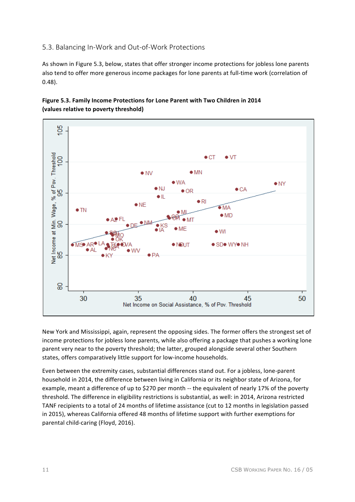## 5.3. Balancing In-Work and Out-of-Work Protections

As shown in Figure 5.3, below, states that offer stronger income protections for jobless lone parents also tend to offer more generous income packages for lone parents at full-time work (correlation of 0.48).





New York and Mississippi, again, represent the opposing sides. The former offers the strongest set of income protections for jobless lone parents, while also offering a package that pushes a working lone parent very near to the poverty threshold; the latter, grouped alongside several other Southern states, offers comparatively little support for low-income households.

Even between the extremity cases, substantial differences stand out. For a jobless, lone-parent household in 2014, the difference between living in California or its neighbor state of Arizona, for example, meant a difference of up to \$270 per month -- the equivalent of nearly 17% of the poverty threshold. The difference in eligibility restrictions is substantial, as well: in 2014, Arizona restricted TANF recipients to a total of 24 months of lifetime assistance (cut to 12 months in legislation passed in 2015), whereas California offered 48 months of lifetime support with further exemptions for parental child-caring (Floyd, 2016).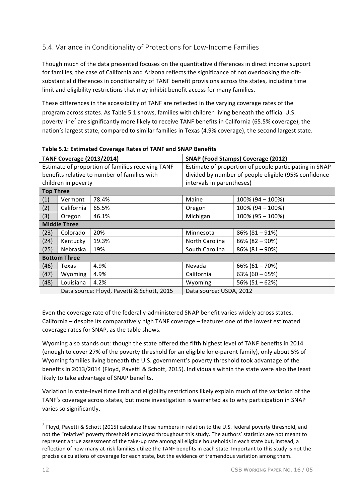# 5.4. Variance in Conditionality of Protections for Low-Income Families

Though much of the data presented focuses on the quantitative differences in direct income support for families, the case of California and Arizona reflects the significance of not overlooking the oftsubstantial differences in conditionality of TANF benefit provisions across the states, including time limit and eligibility restrictions that may inhibit benefit access for many families.

These differences in the accessibility of TANF are reflected in the varying coverage rates of the program across states. As Table 5.1 shows, families with children living beneath the official U.S. poverty line<sup>7</sup> are significantly more likely to receive TANF benefits in California (65.5% coverage), the nation's largest state, compared to similar families in Texas (4.9% coverage), the second largest state.

| asic sizi communes coverage nutes of fruit and sitriff senemis |                                  |                                              |                                           |                                                        |  |  |  |
|----------------------------------------------------------------|----------------------------------|----------------------------------------------|-------------------------------------------|--------------------------------------------------------|--|--|--|
|                                                                | <b>TANF Coverage (2013/2014)</b> |                                              | <b>SNAP (Food Stamps) Coverage (2012)</b> |                                                        |  |  |  |
| Estimate of proportion of families receiving TANF              |                                  |                                              |                                           | Estimate of proportion of people participating in SNAP |  |  |  |
|                                                                |                                  | benefits relative to number of families with |                                           | divided by number of people eligible (95% confidence   |  |  |  |
|                                                                | children in poverty              |                                              | intervals in parentheses)                 |                                                        |  |  |  |
| <b>Top Three</b>                                               |                                  |                                              |                                           |                                                        |  |  |  |
| (1)                                                            | Vermont                          | 78.4%                                        | Maine                                     | $100\%$ (94 – 100%)                                    |  |  |  |
| (2)                                                            | California                       | 65.5%                                        | Oregon                                    | $100\%$ (94 - 100%)                                    |  |  |  |
| (3)                                                            | Oregon                           | 46.1%                                        | Michigan                                  | 100% (95 - 100%)                                       |  |  |  |
| <b>Middle Three</b>                                            |                                  |                                              |                                           |                                                        |  |  |  |
| (23)                                                           | Colorado                         | 20%                                          | Minnesota                                 | $86\%$ (81 - 91%)                                      |  |  |  |
| (24)                                                           | Kentucky                         | 19.3%                                        | North Carolina                            | $86\%$ (82 - 90%)                                      |  |  |  |
| (25)                                                           | Nebraska                         | 19%                                          | South Carolina                            | $86\%$ (81 - 90%)                                      |  |  |  |
|                                                                | <b>Bottom Three</b>              |                                              |                                           |                                                        |  |  |  |
| (46)                                                           | Texas                            | 4.9%                                         | Nevada                                    | $66\% (61 - 70\%)$                                     |  |  |  |
| (47)                                                           | Wyoming                          | 4.9%                                         | California                                | $63\% (60 - 65\%)$                                     |  |  |  |
| (48)                                                           | Louisiana                        | 4.2%                                         | Wyoming                                   | $56\% (51 - 62\%)$                                     |  |  |  |
|                                                                |                                  | Data source: Floyd, Pavetti & Schott, 2015   | Data source: USDA, 2012                   |                                                        |  |  |  |

**Table 5.1: Estimated Coverage Rates of TANF and SNAP Benefits**

Even the coverage rate of the federally-administered SNAP benefit varies widely across states. California - despite its comparatively high TANF coverage - features one of the lowest estimated coverage rates for SNAP, as the table shows.

Wyoming also stands out: though the state offered the fifth highest level of TANF benefits in 2014 (enough to cover 27% of the poverty threshold for an eligible lone-parent family), only about 5% of Wyoming families living beneath the U.S. government's poverty threshold took advantage of the benefits in 2013/2014 (Floyd, Pavetti & Schott, 2015). Individuals within the state were also the least likely to take advantage of SNAP benefits.

Variation in state-level time limit and eligibility restrictions likely explain much of the variation of the TANF's coverage across states, but more investigation is warranted as to why participation in SNAP varies so significantly.

 $7$  Floyd, Pavetti & Schott (2015) calculate these numbers in relation to the U.S. federal poverty threshold, and not the "relative" poverty threshold employed throughout this study. The authors' statistics are not meant to represent a true assessment of the take-up rate among all eligible households in each state but, instead, a reflection of how many at-risk families utilize the TANF benefits in each state. Important to this study is not the precise calculations of coverage for each state, but the evidence of tremendous variation among them.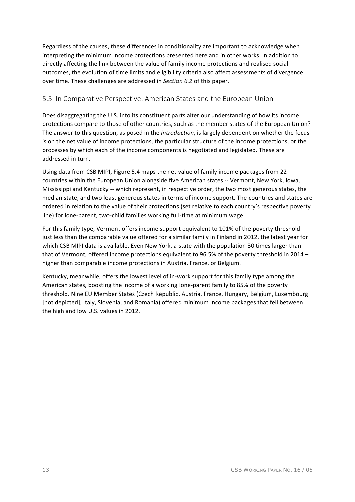Regardless of the causes, these differences in conditionality are important to acknowledge when interpreting the minimum income protections presented here and in other works. In addition to directly affecting the link between the value of family income protections and realised social outcomes, the evolution of time limits and eligibility criteria also affect assessments of divergence over time. These challenges are addressed in *Section 6.2* of this paper.

## 5.5. In Comparative Perspective: American States and the European Union

Does disaggregating the U.S. into its constituent parts alter our understanding of how its income protections compare to those of other countries, such as the member states of the European Union? The answer to this question, as posed in the *Introduction*, is largely dependent on whether the focus is on the net value of income protections, the particular structure of the income protections, or the processes by which each of the income components is negotiated and legislated. These are addressed in turn.

Using data from CSB MIPI, Figure 5.4 maps the net value of family income packages from 22 countries within the European Union alongside five American states -- Vermont, New York, Iowa, Mississippi and Kentucky -- which represent, in respective order, the two most generous states, the median state, and two least generous states in terms of income support. The countries and states are ordered in relation to the value of their protections (set relative to each country's respective poverty line) for lone-parent, two-child families working full-time at minimum wage.

For this family type, Vermont offers income support equivalent to 101% of the poverty threshold – just less than the comparable value offered for a similar family in Finland in 2012, the latest year for which CSB MIPI data is available. Even New York, a state with the population 30 times larger than that of Vermont, offered income protections equivalent to 96.5% of the poverty threshold in 2014 – higher than comparable income protections in Austria, France, or Belgium.

Kentucky, meanwhile, offers the lowest level of in-work support for this family type among the American states, boosting the income of a working lone-parent family to 85% of the poverty threshold. Nine EU Member States (Czech Republic, Austria, France, Hungary, Belgium, Luxembourg [not depicted], Italy, Slovenia, and Romania) offered minimum income packages that fell between the high and low U.S. values in 2012.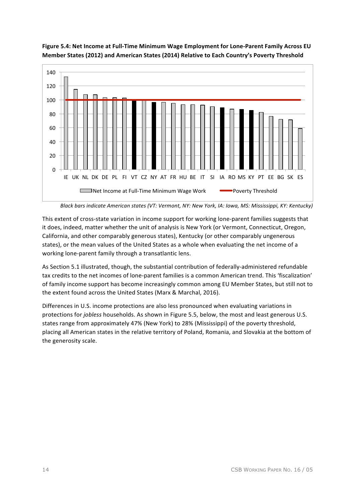



*Black bars indicate American states (VT: Vermont, NY: New York, IA: Iowa, MS: Mississippi, KY: Kentucky)* 

This extent of cross-state variation in income support for working lone-parent families suggests that it does, indeed, matter whether the unit of analysis is New York (or Vermont, Connecticut, Oregon, California, and other comparably generous states), Kentucky (or other comparably ungenerous states), or the mean values of the United States as a whole when evaluating the net income of a working lone-parent family through a transatlantic lens.

As Section 5.1 illustrated, though, the substantial contribution of federally-administered refundable tax credits to the net incomes of lone-parent families is a common American trend. This 'fiscalization' of family income support has become increasingly common among EU Member States, but still not to the extent found across the United States (Marx & Marchal, 2016).

Differences in U.S. income protections are also less pronounced when evaluating variations in protections for *jobless* households. As shown in Figure 5.5, below, the most and least generous U.S. states range from approximately 47% (New York) to 28% (Mississippi) of the poverty threshold, placing all American states in the relative territory of Poland, Romania, and Slovakia at the bottom of the generosity scale.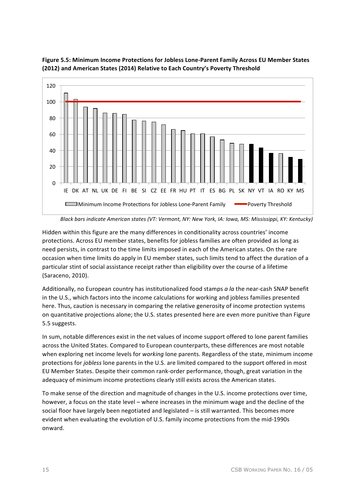

**Figure 5.5: Minimum Income Protections for Jobless Lone-Parent Family Across EU Member States** (2012) and American States (2014) Relative to Each Country's Poverty Threshold

*Black bars indicate American states (VT: Vermont, NY: New York, IA: Iowa, MS: Mississippi, KY: Kentucky)* 

Hidden within this figure are the many differences in conditionality across countries' income protections. Across EU member states, benefits for jobless families are often provided as long as need persists, in contrast to the time limits imposed in each of the American states. On the rare occasion when time limits do apply in EU member states, such limits tend to affect the duration of a particular stint of social assistance receipt rather than eligibility over the course of a lifetime (Saraceno, 2010). 

Additionally, no European country has institutionalized food stamps *a la* the near-cash SNAP benefit in the U.S., which factors into the income calculations for working and jobless families presented here. Thus, caution is necessary in comparing the relative generosity of income protection systems on quantitative projections alone; the U.S. states presented here are even more punitive than Figure 5.5 suggests. 

In sum, notable differences exist in the net values of income support offered to lone parent families across the United States. Compared to European counterparts, these differences are most notable when exploring net income levels for *working* lone parents. Regardless of the state, minimum income protections for *jobless* lone parents in the U.S. are limited compared to the support offered in most EU Member States. Despite their common rank-order performance, though, great variation in the adequacy of minimum income protections clearly still exists across the American states.

To make sense of the direction and magnitude of changes in the U.S. income protections over time, however, a focus on the state level – where increases in the minimum wage and the decline of the social floor have largely been negotiated and legislated – is still warranted. This becomes more evident when evaluating the evolution of U.S. family income protections from the mid-1990s onward.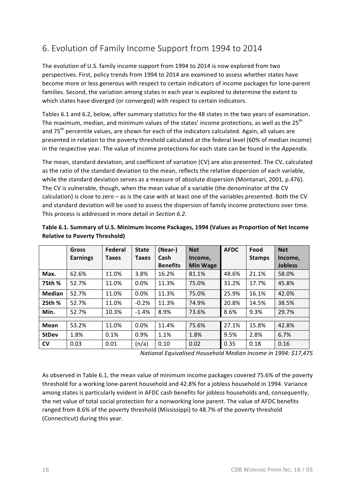# 6. Evolution of Family Income Support from 1994 to 2014

The evolution of U.S. family income support from 1994 to 2014 is now explored from two perspectives. First, policy trends from 1994 to 2014 are examined to assess whether states have become more or less generous with respect to certain indicators of income packages for lone-parent families. Second, the variation among states in each year is explored to determine the extent to which states have diverged (or converged) with respect to certain indicators.

Tables 6.1 and 6.2, below, offer summary statistics for the 48 states in the two years of examination. The maximum, median, and minimum values of the states' income protections, as well as the  $25<sup>th</sup>$ and 75<sup>th</sup> percentile values, are shown for each of the indicators calculated. Again, all values are presented in relation to the poverty threshold calculated at the federal level (60% of median income) in the respective year. The value of income protections for each state can be found in the *Appendix*.

The mean, standard deviation, and coefficient of variation (CV) are also presented. The CV, calculated as the ratio of the standard deviation to the mean, reflects the relative dispersion of each variable, while the standard deviation serves as a measure of absolute dispersion (Montanari, 2001, p.476). The CV is vulnerable, though, when the mean value of a variable (the denominator of the CV calculation) is close to zero - as is the case with at least one of the variables presented. Both the CV and standard deviation will be used to assess the dispersion of family income protections over time. This process is addressed in more detail in *Section 6.2.* 

|              | Gross           | Federal | <b>State</b> | (Near-)         | <b>Net</b>      | <b>AFDC</b> | Food          | <b>Net</b>     |
|--------------|-----------------|---------|--------------|-----------------|-----------------|-------------|---------------|----------------|
|              | <b>Earnings</b> | Taxes   | <b>Taxes</b> | Cash            | Income,         |             | <b>Stamps</b> | Income,        |
|              |                 |         |              | <b>Benefits</b> | <b>Min Wage</b> |             |               | <b>Jobless</b> |
| Max.         | 62.6%           | 11.0%   | 3.8%         | 16.2%           | 81.1%           | 48.6%       | 21.1%         | 58.0%          |
| 75th %       | 52.7%           | 11.0%   | 0.0%         | 11.3%           | 75.0%           | 31.2%       | 17.7%         | 45.8%          |
| Median       | 52.7%           | 11.0%   | 0.0%         | 11.3%           | 75.0%           | 25.9%       | 16.1%         | 42.0%          |
| 25th %       | 52.7%           | 11.0%   | $-0.2%$      | 11.3%           | 74.9%           | 20.8%       | 14.5%         | 38.5%          |
| Min.         | 52.7%           | 10.3%   | $-1.4%$      | 8.9%            | 73.6%           | 8.6%        | 9.3%          | 29.7%          |
|              |                 |         |              |                 |                 |             |               |                |
| Mean         | 53.2%           | 11.0%   | 0.0%         | 11.4%           | 75.6%           | 27.1%       | 15.8%         | 42.8%          |
| <b>StDev</b> | 1.8%            | 0.1%    | 0.9%         | 1.1%            | 1.8%            | 9.5%        | 2.8%          | 6.7%           |
| <b>CV</b>    | 0.03            | 0.01    | (n/a)        | 0.10            | 0.02            | 0.35        | 0.18          | 0.16           |

| Table 6.1. Summary of U.S. Minimum Income Packages, 1994 (Values as Proportion of Net Income |  |
|----------------------------------------------------------------------------------------------|--|
| <b>Relative to Poverty Threshold)</b>                                                        |  |

*National Equivalised Household Median Income in 1994: \$17,475*

As observed in Table 6.1, the mean value of minimum income packages covered 75.6% of the poverty threshold for a working lone-parent household and 42.8% for a jobless household in 1994. Variance among states is particularly evident in AFDC cash benefits for jobless households and, consequently, the net value of total social protection for a nonworking lone parent. The value of AFDC benefits ranged from 8.6% of the poverty threshold (Mississippi) to 48.7% of the poverty threshold (Connecticut) during this year.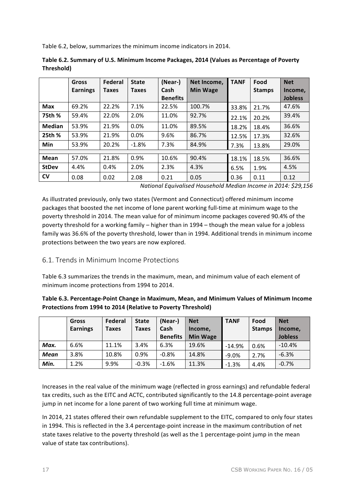Table 6.2, below, summarizes the minimum income indicators in 2014.

|              | <b>Gross</b>    | <b>Federal</b> | <b>State</b> | (Near-)         | Net Income,     | <b>TANF</b> | Food          | <b>Net</b>     |
|--------------|-----------------|----------------|--------------|-----------------|-----------------|-------------|---------------|----------------|
|              | <b>Earnings</b> | <b>Taxes</b>   | <b>Taxes</b> | Cash            | <b>Min Wage</b> |             | <b>Stamps</b> | Income,        |
|              |                 |                |              | <b>Benefits</b> |                 |             |               | <b>Jobless</b> |
| <b>Max</b>   | 69.2%           | 22.2%          | 7.1%         | 22.5%           | 100.7%          | 33.8%       | 21.7%         | 47.6%          |
| 75th %       | 59.4%           | 22.0%          | 2.0%         | 11.0%           | 92.7%           | 22.1%       | 20.2%         | 39.4%          |
| Median       | 53.9%           | 21.9%          | 0.0%         | 11.0%           | 89.5%           | 18.2%       | 18.4%         | 36.6%          |
| 25th %       | 53.9%           | 21.9%          | 0.0%         | 9.6%            | 86.7%           | 12.5%       | 17.3%         | 32.6%          |
| Min          | 53.9%           | 20.2%          | $-1.8%$      | 7.3%            | 84.9%           | 7.3%        | 13.8%         | 29.0%          |
|              |                 |                |              |                 |                 |             |               |                |
| Mean         | 57.0%           | 21.8%          | 0.9%         | 10.6%           | 90.4%           | 18.1%       | 18.5%         | 36.6%          |
| <b>StDev</b> | 4.4%            | 0.4%           | 2.0%         | 2.3%            | 4.3%            | 6.5%        | 1.9%          | 4.5%           |
| <b>CV</b>    | 0.08            | 0.02           | 2.08         | 0.21            | 0.05            | 0.36        | 0.11          | 0.12           |

| Table 6.2. Summary of U.S. Minimum Income Packages, 2014 (Values as Percentage of Poverty |  |
|-------------------------------------------------------------------------------------------|--|
| Threshold)                                                                                |  |

*National Equivalised Household Median Income in 2014: \$29,156*

As illustrated previously, only two states (Vermont and Connecticut) offered minimum income packages that boosted the net income of lone parent working full-time at minimum wage to the poverty threshold in 2014. The mean value for of minimum income packages covered 90.4% of the poverty threshold for a working family – higher than in 1994 – though the mean value for a jobless family was 36.6% of the poverty threshold, lower than in 1994. Additional trends in minimum income protections between the two years are now explored.

### 6.1. Trends in Minimum Income Protections

Table 6.3 summarizes the trends in the maximum, mean, and minimum value of each element of minimum income protections from 1994 to 2014.

| Table 6.3. Percentage-Point Change in Maximum, Mean, and Minimum Values of Minimum Income |
|-------------------------------------------------------------------------------------------|
| Protections from 1994 to 2014 (Relative to Poverty Threshold)                             |

|             | Gross           | Federal | <b>State</b> | (Near-)         | <b>Net</b>      | <b>TANF</b> | Food          | <b>Net</b>     |
|-------------|-----------------|---------|--------------|-----------------|-----------------|-------------|---------------|----------------|
|             | <b>Earnings</b> | Taxes   | <b>Taxes</b> | Cash            | Income,         |             | <b>Stamps</b> | Income,        |
|             |                 |         |              | <b>Benefits</b> | <b>Min Wage</b> |             |               | <b>Jobless</b> |
| Max.        | 6.6%            | 11.1%   | 3.4%         | 6.3%            | 19.6%           | $-14.9%$    | 0.6%          | $-10.4%$       |
| <b>Mean</b> | 3.8%            | 10.8%   | 0.9%         | $-0.8%$         | 14.8%           | $-9.0%$     | 2.7%          | $-6.3%$        |
| Min.        | 1.2%            | 9.9%    | $-0.3%$      | $-1.6%$         | 11.3%           | $-1.3%$     | 4.4%          | $-0.7%$        |

Increases in the real value of the minimum wage (reflected in gross earnings) and refundable federal tax credits, such as the EITC and ACTC, contributed significantly to the 14.8 percentage-point average jump in net income for a lone parent of two working full time at minimum wage.

In 2014, 21 states offered their own refundable supplement to the EITC, compared to only four states in 1994. This is reflected in the 3.4 percentage-point increase in the maximum contribution of net state taxes relative to the poverty threshold (as well as the 1 percentage-point jump in the mean value of state tax contributions).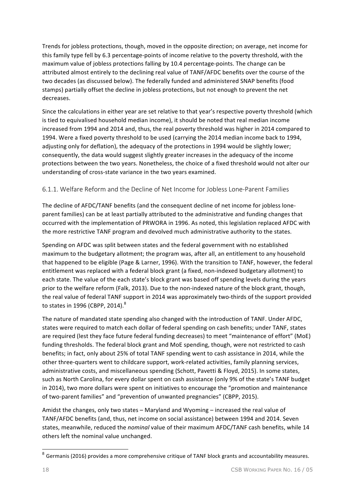Trends for jobless protections, though, moved in the opposite direction; on average, net income for this family type fell by 6.3 percentage-points of income relative to the poverty threshold, with the maximum value of jobless protections falling by 10.4 percentage-points. The change can be attributed almost entirely to the declining real value of TANF/AFDC benefits over the course of the two decades (as discussed below). The federally funded and administered SNAP benefits (food stamps) partially offset the decline in jobless protections, but not enough to prevent the net decreases. 

Since the calculations in either year are set relative to that year's respective poverty threshold (which is tied to equivalised household median income), it should be noted that real median income increased from 1994 and 2014 and, thus, the real poverty threshold was higher in 2014 compared to 1994. Were a fixed poverty threshold to be used (carrying the 2014 median income back to 1994, adjusting only for deflation), the adequacy of the protections in 1994 would be slightly lower; consequently, the data would suggest slightly greater increases in the adequacy of the income protections between the two years. Nonetheless, the choice of a fixed threshold would not alter our understanding of cross-state variance in the two years examined.

### 6.1.1. Welfare Reform and the Decline of Net Income for Jobless Lone-Parent Families

The decline of AFDC/TANF benefits (and the consequent decline of net income for jobless loneparent families) can be at least partially attributed to the administrative and funding changes that occurred with the implementation of PRWORA in 1996. As noted, this legislation replaced AFDC with the more restrictive TANF program and devolved much administrative authority to the states.

Spending on AFDC was split between states and the federal government with no established maximum to the budgetary allotment; the program was, after all, an entitlement to any household that happened to be eligible (Page & Larner, 1996). With the transition to TANF, however, the federal entitlement was replaced with a federal block grant (a fixed, non-indexed budgetary allotment) to each state. The value of the each state's block grant was based off spending levels during the years prior to the welfare reform (Falk, 2013). Due to the non-indexed nature of the block grant, though, the real value of federal TANF support in 2014 was approximately two-thirds of the support provided to states in 1996 (CBPP, 2014). $^8$ 

The nature of mandated state spending also changed with the introduction of TANF. Under AFDC, states were required to match each dollar of federal spending on cash benefits; under TANF, states are required (lest they face future federal funding decreases) to meet "maintenance of effort" (MoE) funding thresholds. The federal block grant and MoE spending, though, were not restricted to cash benefits; in fact, only about 25% of total TANF spending went to cash assistance in 2014, while the other three-quarters went to childcare support, work-related activities, family planning services, administrative costs, and miscellaneous spending (Schott, Pavetti & Floyd, 2015). In some states, such as North Carolina, for every dollar spent on cash assistance (only 9% of the state's TANF budget in 2014), two more dollars were spent on initiatives to encourage the "promotion and maintenance of two-parent families" and "prevention of unwanted pregnancies" (CBPP, 2015).

Amidst the changes, only two states  $-$  Maryland and Wyoming  $-$  increased the real value of TANF/AFDC benefits (and, thus, net income on social assistance) between 1994 and 2014. Seven states, meanwhile, reduced the *nominal* value of their maximum AFDC/TANF cash benefits, while 14 others left the nominal value unchanged.

 $8$  Germanis (2016) provides a more comprehensive critique of TANF block grants and accountability measures.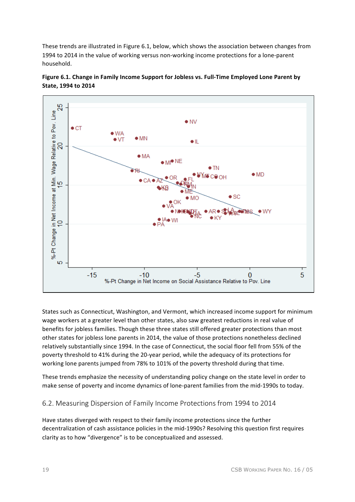These trends are illustrated in Figure 6.1, below, which shows the association between changes from 1994 to 2014 in the value of working versus non-working income protections for a lone-parent household.



+ MI<sup>+</sup>NE

⊧ ∩Б

 $+1$ 

MO

 $-5$ 

%-Pt Change in Net Income on Social Assistance Relative to Pov. Line

+ TN

OН

+ AR + SO

 $\bullet$  KY

 $\bullet$  SC

 $\bullet$  MD

 $\overline{0}$ 

**WY** 

5

 $• WA$ 

 $\bullet$  VT

 $*MN$ 

 $+ MA$ 

 $C A$ 

 $-10$ 

è RI





These trends emphasize the necessity of understanding policy change on the state level in order to make sense of poverty and income dynamics of lone-parent families from the mid-1990s to today.

## 6.2. Measuring Dispersion of Family Income Protections from 1994 to 2014

Have states diverged with respect to their family income protections since the further decentralization of cash assistance policies in the mid-1990s? Resolving this question first requires clarity as to how "divergence" is to be conceptualized and assessed.

đ s, Ю

 $-15$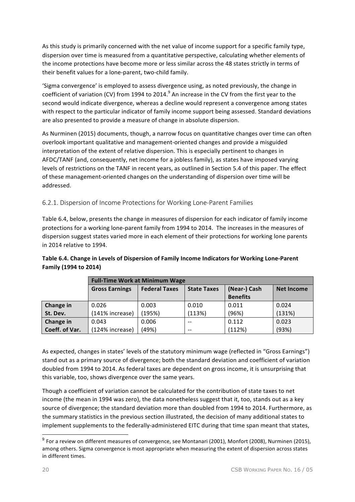As this study is primarily concerned with the net value of income support for a specific family type, dispersion over time is measured from a quantitative perspective, calculating whether elements of the income protections have become more or less similar across the 48 states strictly in terms of their benefit values for a lone-parent, two-child family.

'Sigma convergence' is employed to assess divergence using, as noted previously, the change in coefficient of variation (CV) from 1994 to 2014.<sup>9</sup> An increase in the CV from the first year to the second would indicate divergence, whereas a decline would represent a convergence among states with respect to the particular indicator of family income support being assessed. Standard deviations are also presented to provide a measure of change in absolute dispersion.

As Nurminen (2015) documents, though, a narrow focus on quantitative changes over time can often overlook important qualitative and management-oriented changes and provide a misguided interpretation of the extent of relative dispersion. This is especially pertinent to changes in AFDC/TANF (and, consequently, net income for a jobless family), as states have imposed varying levels of restrictions on the TANF in recent years, as outlined in Section 5.4 of this paper. The effect of these management-oriented changes on the understanding of dispersion over time will be addressed. 

### 6.2.1. Dispersion of Income Protections for Working Lone-Parent Families

Table 6.4, below, presents the change in measures of dispersion for each indicator of family income protections for a working lone-parent family from 1994 to 2014. The increases in the measures of dispersion suggest states varied more in each element of their protections for working lone parents in 2014 relative to 1994.

#### Table 6.4. Change in Levels of Dispersion of Family Income Indicators for Working Lone-Parent **Family (1994 to 2014)**

|                | <b>Full-Time Work at Minimum Wage</b>         |        |                    |                 |                   |  |  |  |
|----------------|-----------------------------------------------|--------|--------------------|-----------------|-------------------|--|--|--|
|                | <b>Federal Taxes</b><br><b>Gross Earnings</b> |        | <b>State Taxes</b> | (Near-) Cash    | <b>Net Income</b> |  |  |  |
|                |                                               |        |                    | <b>Benefits</b> |                   |  |  |  |
| Change in      | 0.026                                         | 0.003  | 0.010              | 0.011           | 0.024             |  |  |  |
| St. Dev.       | (141% increase)                               | (195%) | (113%)             | (96%)           | (131%)            |  |  |  |
| Change in      | 0.043                                         | 0.006  | $-$                | 0.112           | 0.023             |  |  |  |
| Coeff. of Var. | (124% increase)                               | (49%)  | $-$                | (112%)          | (93%)             |  |  |  |

As expected, changes in states' levels of the statutory minimum wage (reflected in "Gross Earnings") stand out as a primary source of divergence; both the standard deviation and coefficient of variation doubled from 1994 to 2014. As federal taxes are dependent on gross income, it is unsurprising that this variable, too, shows divergence over the same years.

Though a coefficient of variation cannot be calculated for the contribution of state taxes to net income (the mean in 1994 was zero), the data nonetheless suggest that it, too, stands out as a key source of divergence; the standard deviation more than doubled from 1994 to 2014. Furthermore, as the summary statistics in the previous section illustrated, the decision of many additional states to implement supplements to the federally-administered EITC during that time span meant that states,

 $9$  For a review on different measures of convergence, see Montanari (2001), Monfort (2008), Nurminen (2015), among others. Sigma convergence is most appropriate when measuring the extent of dispersion across states in different times.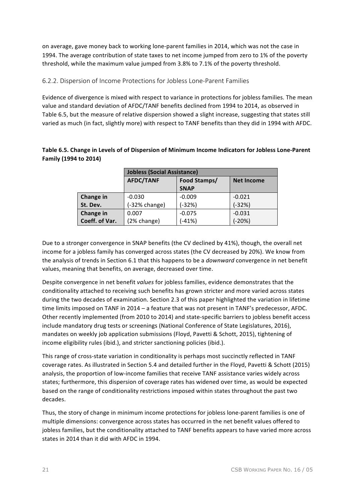on average, gave money back to working lone-parent families in 2014, which was not the case in 1994. The average contribution of state taxes to net income jumped from zero to 1% of the poverty threshold, while the maximum value jumped from 3.8% to 7.1% of the poverty threshold.

#### 6.2.2. Dispersion of Income Protections for Jobless Lone-Parent Families

Evidence of divergence is mixed with respect to variance in protections for jobless families. The mean value and standard deviation of AFDC/TANF benefits declined from 1994 to 2014, as observed in Table 6.5, but the measure of relative dispersion showed a slight increase, suggesting that states still varied as much (in fact, slightly more) with respect to TANF benefits than they did in 1994 with AFDC.

#### Table 6.5. Change in Levels of of Dispersion of Minimum Income Indicators for Jobless Lone-Parent **Family (1994 to 2014)**

|                | <b>Jobless (Social Assistance)</b> |                                   |          |  |  |  |  |
|----------------|------------------------------------|-----------------------------------|----------|--|--|--|--|
|                | <b>AFDC/TANF</b>                   | Food Stamps/<br><b>Net Income</b> |          |  |  |  |  |
|                |                                    | <b>SNAP</b>                       |          |  |  |  |  |
| Change in      | $-0.030$                           | $-0.009$                          | $-0.021$ |  |  |  |  |
| St. Dev.       | $(-32% change)$                    | (-32%)                            | $(-32%)$ |  |  |  |  |
| Change in      | 0.007                              | $-0.075$                          | $-0.031$ |  |  |  |  |
| Coeff. of Var. | (2% change)                        | $(-41%)$                          | $(-20%)$ |  |  |  |  |

Due to a stronger convergence in SNAP benefits (the CV declined by 41%), though, the overall net income for a jobless family has converged across states (the CV decreased by 20%). We know from the analysis of trends in Section 6.1 that this happens to be a *downward* convergence in net benefit values, meaning that benefits, on average, decreased over time.

Despite convergence in net benefit *values* for jobless families, evidence demonstrates that the conditionality attached to receiving such benefits has grown stricter and more varied across states during the two decades of examination. Section 2.3 of this paper highlighted the variation in lifetime time limits imposed on TANF in 2014 – a feature that was not present in TANF's predecessor, AFDC. Other recently implemented (from 2010 to 2014) and state-specific barriers to jobless benefit access include mandatory drug tests or screenings (National Conference of State Legislatures, 2016), mandates on weekly job application submissions (Floyd, Pavetti & Schott, 2015), tightening of income eligibility rules (ibid.), and stricter sanctioning policies (ibid.).

This range of cross-state variation in conditionality is perhaps most succinctly reflected in TANF coverage rates. As illustrated in Section 5.4 and detailed further in the Floyd, Pavetti & Schott (2015) analysis, the proportion of low-income families that receive TANF assistance varies widely across states; furthermore, this dispersion of coverage rates has widened over time, as would be expected based on the range of conditionality restrictions imposed within states throughout the past two decades.

Thus, the story of change in minimum income protections for jobless lone-parent families is one of multiple dimensions: convergence across states has occurred in the net benefit values offered to jobless families, but the conditionality attached to TANF benefits appears to have varied more across states in 2014 than it did with AFDC in 1994.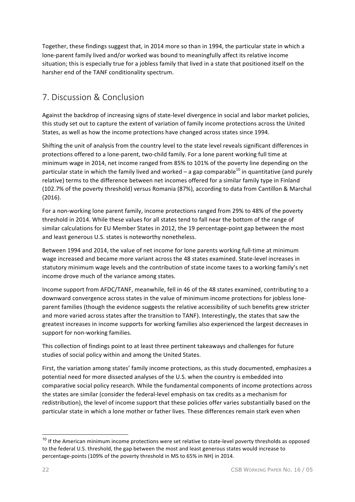Together, these findings suggest that, in 2014 more so than in 1994, the particular state in which a lone-parent family lived and/or worked was bound to meaningfully affect its relative income situation; this is especially true for a jobless family that lived in a state that positioned itself on the harsher end of the TANF conditionality spectrum.

# 7. Discussion & Conclusion

Against the backdrop of increasing signs of state-level divergence in social and labor market policies, this study set out to capture the extent of variation of family income protections across the United States, as well as how the income protections have changed across states since 1994.

Shifting the unit of analysis from the country level to the state level reveals significant differences in protections offered to a lone-parent, two-child family. For a lone parent working full time at minimum wage in 2014, net income ranged from 85% to 101% of the poverty line depending on the particular state in which the family lived and worked – a gap comparable<sup>10</sup> in quantitative (and purely relative) terms to the difference between net incomes offered for a similar family type in Finland (102.7% of the poverty threshold) versus Romania (87%), according to data from Cantillon & Marchal (2016).

For a non-working lone parent family, income protections ranged from 29% to 48% of the poverty threshold in 2014. While these values for all states tend to fall near the bottom of the range of similar calculations for EU Member States in 2012, the 19 percentage-point gap between the most and least generous U.S. states is noteworthy nonetheless.

Between 1994 and 2014, the value of net income for lone parents working full-time at minimum wage increased and became more variant across the 48 states examined. State-level increases in statutory minimum wage levels and the contribution of state income taxes to a working family's net income drove much of the variance among states.

Income support from AFDC/TANF, meanwhile, fell in 46 of the 48 states examined, contributing to a downward convergence across states in the value of minimum income protections for jobless loneparent families (though the evidence suggests the relative accessibility of such benefits grew stricter and more varied across states after the transition to TANF). Interestingly, the states that saw the greatest increases in income supports for working families also experienced the largest decreases in support for non-working families.

This collection of findings point to at least three pertinent takeaways and challenges for future studies of social policy within and among the United States.

First, the variation among states' family income protections, as this study documented, emphasizes a potential need for more dissected analyses of the U.S. when the country is embedded into comparative social policy research. While the fundamental components of income protections across the states are similar (consider the federal-level emphasis on tax credits as a mechanism for redistribution), the level of income support that these policies offer varies substantially based on the particular state in which a lone mother or father lives. These differences remain stark even when

 $10$  If the American minimum income protections were set relative to state-level poverty thresholds as opposed to the federal U.S. threshold, the gap between the most and least generous states would increase to percentage-points (109% of the poverty threshold in MS to 65% in NH) in 2014.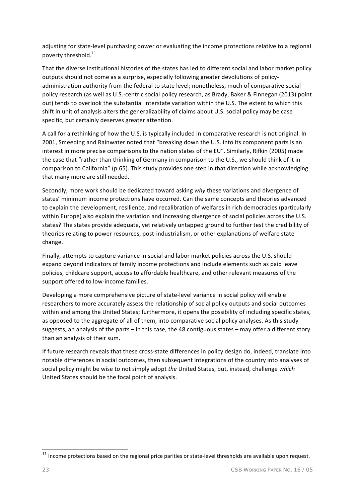adjusting for state-level purchasing power or evaluating the income protections relative to a regional poverty threshold.<sup>11</sup>

That the diverse institutional histories of the states has led to different social and labor market policy outputs should not come as a surprise, especially following greater devolutions of policyadministration authority from the federal to state level; nonetheless, much of comparative social policy research (as well as U.S.-centric social policy research, as Brady, Baker & Finnegan (2013) point out) tends to overlook the substantial interstate variation within the U.S. The extent to which this shift in unit of analysis alters the generalizability of claims about U.S. social policy may be case specific, but certainly deserves greater attention.

A call for a rethinking of how the U.S. is typically included in comparative research is not original. In 2001, Smeeding and Rainwater noted that "breaking down the U.S. into its component parts is an interest in more precise comparisons to the nation states of the EU". Similarly, Rifkin (2005) made the case that "rather than thinking of Germany in comparison to the U.S., we should think of it in comparison to California" (p.65). This study provides one step in that direction while acknowledging that many more are still needed.

Secondly, more work should be dedicated toward asking why these variations and divergence of states' minimum income protections have occurred. Can the same concepts and theories advanced to explain the development, resilience, and recalibration of welfares in rich democracies (particularly within Europe) also explain the variation and increasing divergence of social policies across the U.S. states? The states provide adequate, yet relatively untapped ground to further test the credibility of theories relating to power resources, post-industrialism, or other explanations of welfare state change.

Finally, attempts to capture variance in social and labor market policies across the U.S. should expand beyond indicators of family income protections and include elements such as paid leave policies, childcare support, access to affordable healthcare, and other relevant measures of the support offered to low-income families.

Developing a more comprehensive picture of state-level variance in social policy will enable researchers to more accurately assess the relationship of social policy outputs and social outcomes within and among the United States; furthermore, it opens the possibility of including specific states, as opposed to the aggregate of all of them, into comparative social policy analyses. As this study suggests, an analysis of the parts  $-$  in this case, the 48 contiguous states  $-$  may offer a different story than an analysis of their sum.

If future research reveals that these cross-state differences in policy design do, indeed, translate into notable differences in social outcomes, then subsequent integrations of the country into analyses of social policy might be wise to not simply adopt *the* United States, but, instead, challenge which United States should be the focal point of analysis.

 $11$  Income protections based on the regional price parities or state-level thresholds are available upon request.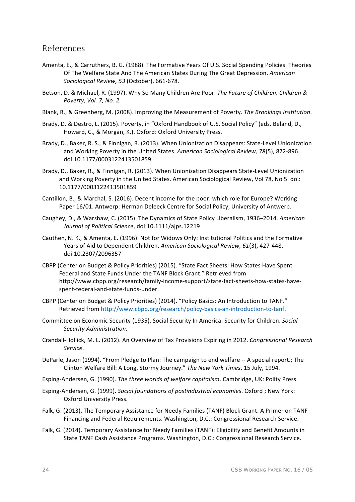## References

- Amenta, E., & Carruthers, B. G. (1988). The Formative Years Of U.S. Social Spending Policies: Theories Of The Welfare State And The American States During The Great Depression. American *Sociological Review, 53* (October), 661-678.
- Betson, D. & Michael, R. (1997). Why So Many Children Are Poor. The Future of Children, Children & *Poverty, Vol. 7, No. 2.*
- Blank, R., & Greenberg, M. (2008). Improving the Measurement of Poverty. The Brookings Institution.
- Brady, D. & Destro, L. (2015). Poverty, in "Oxford Handbook of U.S. Social Policy" (eds. Beland, D., Howard, C., & Morgan, K.). Oxford: Oxford University Press.
- Brady, D., Baker, R. S., & Finnigan, R. (2013). When Unionization Disappears: State-Level Unionization and Working Poverty in the United States. American Sociological Review, 78(5), 872-896. doi:10.1177/0003122413501859
- Brady, D., Baker, R., & Finnigan, R. (2013). When Unionization Disappears State-Level Unionization and Working Poverty in the United States. American Sociological Review, Vol 78, No 5. doi: 10.1177/0003122413501859
- Cantillon, B., & Marchal, S. (2016). Decent income for the poor: which role for Europe? Working Paper 16/01. Antwerp: Herman Deleeck Centre for Social Policy, University of Antwerp.
- Caughey, D., & Warshaw, C. (2015). The Dynamics of State Policy Liberalism, 1936–2014. American *Journal of Political Science*, doi:10.1111/ajps.12219
- Cauthen, N. K., & Amenta, E. (1996). Not for Widows Only: Institutional Politics and the Formative Years of Aid to Dependent Children. American Sociological Review, 61(3), 427-448. doi:10.2307/2096357
- CBPP (Center on Budget & Policy Priorities) (2015). "State Fact Sheets: How States Have Spent Federal and State Funds Under the TANF Block Grant." Retrieved from http://www.cbpp.org/research/family-income-support/state-fact-sheets-how-states-havespent-federal-and-state-funds-under.
- CBPP (Center on Budget & Policy Priorities) (2014). "Policy Basics: An Introduction to TANF." Retrieved from http://www.cbpp.org/research/policy-basics-an-introduction-to-tanf.
- Committee on Economic Security (1935). Social Security In America: Security for Children. *Social Security Administration.*
- Crandall-Hollick, M. L. (2012). An Overview of Tax Provisions Expiring in 2012. *Congressional Research Service*.
- DeParle, Jason (1994). "From Pledge to Plan: The campaign to end welfare -- A special report.; The Clinton Welfare Bill: A Long, Stormy Journey." The New York Times. 15 July, 1994.
- Esping-Andersen, G. (1990). *The three worlds of welfare capitalism*. Cambridge, UK: Polity Press.
- Esping-Andersen, G. (1999). *Social foundations of postindustrial economies*. Oxford ; New York: Oxford University Press.
- Falk, G. (2013). The Temporary Assistance for Needy Families (TANF) Block Grant: A Primer on TANF Financing and Federal Requirements. Washington, D.C.: Congressional Research Service.
- Falk, G. (2014). Temporary Assistance for Needy Families (TANF): Eligibility and Benefit Amounts in State TANF Cash Assistance Programs. Washington, D.C.: Congressional Research Service.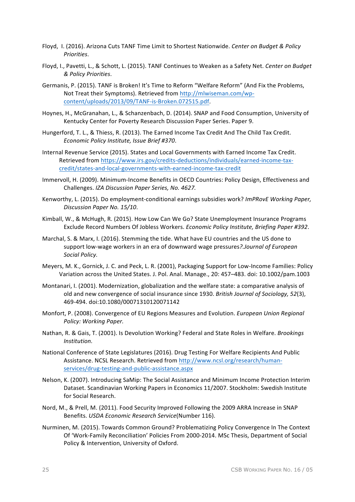- Floyd, I. (2016). Arizona Cuts TANF Time Limit to Shortest Nationwide. Center on Budget & Policy *Priorities*.
- Floyd, I., Pavetti, L., & Schott, L. (2015). TANF Continues to Weaken as a Safety Net. Center on Budget *& Policy Priorities*.
- Germanis, P. (2015). TANF is Broken! It's Time to Reform "Welfare Reform" (And Fix the Problems, Not Treat their Symptoms). Retrieved from http://mlwiseman.com/wpcontent/uploads/2013/09/TANF-is-Broken.072515.pdf.
- Hoynes, H., McGranahan, L., & Schanzenbach, D. (2014). SNAP and Food Consumption, University of Kentucky Center for Poverty Research Discussion Paper Series. Paper 9.
- Hungerford, T. L., & Thiess, R. (2013). The Earned Income Tax Credit And The Child Tax Credit. *Economic Policy Institute, Issue Brief #370*.
- Internal Revenue Service (2015). States and Local Governments with Earned Income Tax Credit. Retrieved from https://www.irs.gov/credits-deductions/individuals/earned-income-taxcredit/states-and-local-governments-with-earned-income-tax-credit
- Immervoll, H. (2009). Minimum-Income Benefits in OECD Countries: Policy Design, Effectiveness and Challenges. *IZA Discussion Paper Series, No. 4627.*
- Kenworthy, L. (2015). Do employment-conditional earnings subsidies work? *ImPRovE Working Paper, Discussion Paper No. 15/10*.
- Kimball, W., & McHugh, R. (2015). How Low Can We Go? State Unemployment Insurance Programs Exclude Record Numbers Of Jobless Workers. *Economic Policy Institute, Briefing Paper #392*.
- Marchal, S. & Marx, I. (2016). Stemming the tide. What have EU countries and the US done to support low-wage workers in an era of downward wage pressures?.Journal of European *Social Policy.*
- Meyers, M. K., Gornick, J. C. and Peck, L. R. (2001), Packaging Support for Low-Income Families: Policy Variation across the United States. J. Pol. Anal. Manage., 20: 457–483. doi: 10.1002/pam.1003
- Montanari, I. (2001). Modernization, globalization and the welfare state: a comparative analysis of old and new convergence of social insurance since 1930. British Journal of Sociology, 52(3), 469-494. doi:10.1080/00071310120071142
- Monfort, P. (2008). Convergence of EU Regions Measures and Evolution. *European Union Regional Policy: Working Paper.*
- Nathan, R. & Gais, T. (2001). Is Devolution Working? Federal and State Roles in Welfare. *Brookings Institution.*
- National Conference of State Legislatures (2016). Drug Testing For Welfare Recipients And Public Assistance. NCSL Research. Retrieved from http://www.ncsl.org/research/humanservices/drug-testing-and-public-assistance.aspx
- Nelson, K. (2007). Introducing SaMip: The Social Assistance and Minimum Income Protection Interim Dataset. Scandinavian Working Papers in Economics 11/2007. Stockholm: Swedish Institute for Social Research.
- Nord, M., & Prell, M. (2011). Food Security Improved Following the 2009 ARRA Increase in SNAP Benefits. *USDA Economic Research Service*(Number 116).
- Nurminen, M. (2015). Towards Common Ground? Problematizing Policy Convergence In The Context Of 'Work-Family Reconciliation' Policies From 2000-2014. MSc Thesis, Department of Social Policy & Intervention, University of Oxford.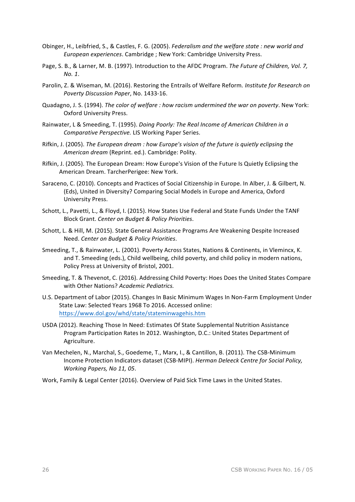- Obinger, H., Leibfried, S., & Castles, F. G. (2005). Federalism and the welfare state : new world and *European experiences*. Cambridge ; New York: Cambridge University Press.
- Page, S. B., & Larner, M. B. (1997). Introduction to the AFDC Program. The Future of Children, Vol. 7, *No. 1*.
- Parolin, Z. & Wiseman, M. (2016). Restoring the Entrails of Welfare Reform. *Institute for Research on Poverty Discussion Paper*, No. 1433-16.
- Quadagno, J. S. (1994). *The color of welfare : how racism undermined the war on poverty*. New York: Oxford University Press.
- Rainwater, L & Smeeding, T. (1995). *Doing Poorly: The Real Income of American Children in a* Comparative Perspective. LIS Working Paper Series.
- Rifkin, J. (2005). The European dream : how Europe's vision of the future is quietly eclipsing the American dream (Reprint. ed.). Cambridge: Polity.
- Rifkin, J. (2005). The European Dream: How Europe's Vision of the Future Is Quietly Eclipsing the American Dream. TarcherPerigee: New York.
- Saraceno, C. (2010). Concepts and Practices of Social Citizenship in Europe. In Alber, J. & Gilbert, N. (Eds), United in Diversity? Comparing Social Models in Europe and America, Oxford University Press.
- Schott, L., Pavetti, L., & Floyd, I. (2015). How States Use Federal and State Funds Under the TANF Block Grant. *Center on Budget & Policy Priorities*.
- Schott, L. & Hill, M. (2015). State General Assistance Programs Are Weakening Despite Increased Need. *Center on Budget & Policy Priorities*.
- Smeeding, T., & Rainwater, L. (2001). Poverty Across States, Nations & Continents, in Vlemincx, K. and T. Smeeding (eds.), Child wellbeing, child poverty, and child policy in modern nations, Policy Press at University of Bristol, 2001.
- Smeeding, T. & Thevenot, C. (2016). Addressing Child Poverty: Hoes Does the United States Compare with Other Nations? Academic Pediatrics.
- U.S. Department of Labor (2015). Changes In Basic Minimum Wages In Non-Farm Employment Under State Law: Selected Years 1968 To 2016. Accessed online: https://www.dol.gov/whd/state/stateminwagehis.htm
- USDA (2012). Reaching Those In Need: Estimates Of State Supplemental Nutrition Assistance Program Participation Rates In 2012. Washington, D.C.: United States Department of Agriculture.
- Van Mechelen, N., Marchal, S., Goedeme, T., Marx, I., & Cantillon, B. (2011). The CSB-Minimum Income Protection Indicators dataset (CSB-MIPI). *Herman Deleeck Centre for Social Policy*, *Working Papers, No 11, 05.*

Work, Family & Legal Center (2016). Overview of Paid Sick Time Laws in the United States.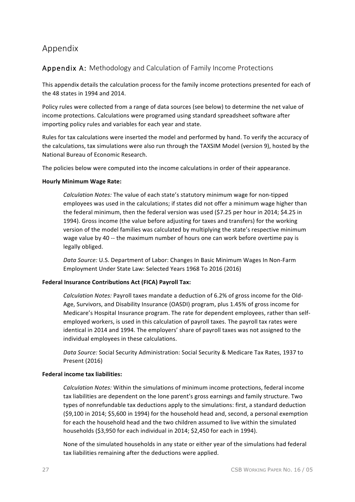# Appendix

## Appendix A: Methodology and Calculation of Family Income Protections

This appendix details the calculation process for the family income protections presented for each of the 48 states in 1994 and 2014.

Policy rules were collected from a range of data sources (see below) to determine the net value of income protections. Calculations were programed using standard spreadsheet software after importing policy rules and variables for each year and state.

Rules for tax calculations were inserted the model and performed by hand. To verify the accuracy of the calculations, tax simulations were also run through the TAXSIM Model (version 9), hosted by the National Bureau of Economic Research.

The policies below were computed into the income calculations in order of their appearance.

#### **Hourly Minimum Wage Rate:**

*Calculation Notes:* The value of each state's statutory minimum wage for non-tipped employees was used in the calculations; if states did not offer a minimum wage higher than the federal minimum, then the federal version was used (\$7.25 per hour in 2014; \$4.25 in 1994). Gross income (the value before adjusting for taxes and transfers) for the working version of the model families was calculated by multiplying the state's respective minimum wage value by 40 -- the maximum number of hours one can work before overtime pay is legally obliged.

Data Source: U.S. Department of Labor: Changes In Basic Minimum Wages In Non-Farm Employment Under State Law: Selected Years 1968 To 2016 (2016)

#### **Federal Insurance Contributions Act (FICA) Payroll Tax:**

*Calculation Notes:* Payroll taxes mandate a deduction of 6.2% of gross income for the Old-Age, Survivors, and Disability Insurance (OASDI) program, plus 1.45% of gross income for Medicare's Hospital Insurance program. The rate for dependent employees, rather than selfemployed workers, is used in this calculation of payroll taxes. The payroll tax rates were identical in 2014 and 1994. The employers' share of payroll taxes was not assigned to the individual employees in these calculations.

Data Source: Social Security Administration: Social Security & Medicare Tax Rates, 1937 to Present (2016)

#### **Federal income tax liabilities:**

*Calculation Notes:* Within the simulations of minimum income protections, federal income tax liabilities are dependent on the lone parent's gross earnings and family structure. Two types of nonrefundable tax deductions apply to the simulations: first, a standard deduction (\$9,100 in 2014; \$5,600 in 1994) for the household head and, second, a personal exemption for each the household head and the two children assumed to live within the simulated households (\$3,950 for each individual in 2014; \$2,450 for each in 1994).

None of the simulated households in any state or either year of the simulations had federal tax liabilities remaining after the deductions were applied.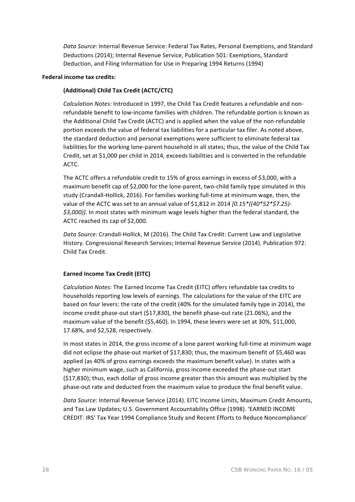Data Source: Internal Revenue Service: Federal Tax Rates, Personal Exemptions, and Standard Deductions (2014); Internal Revenue Service, Publication 501: Exemptions, Standard Deduction, and Filing Information for Use in Preparing 1994 Returns (1994)

#### **Federal income tax credits:**

#### **(Additional) Child Tax Credit (ACTC/CTC)**

Calculation Notes: Introduced in 1997, the Child Tax Credit features a refundable and nonrefundable benefit to low-income families with children. The refundable portion is known as the Additional Child Tax Credit (ACTC) and is applied when the value of the non-refundable portion exceeds the value of federal tax liabilities for a particular tax filer. As noted above, the standard deduction and personal exemptions were sufficient to eliminate federal tax liabilities for the working lone-parent household in all states; thus, the value of the Child Tax Credit, set at \$1,000 per child in 2014, exceeds liabilities and is converted in the refundable ACTC.

The ACTC offers a refundable credit to 15% of gross earnings in excess of \$3,000, with a maximum benefit cap of \$2,000 for the lone-parent, two-child family type simulated in this study (Crandall-Hollick, 2016). For families working full-time at minimum wage, then, the value of the ACTC was set to an annual value of \$1,812 in 2014 *[0.15\*((40\*52\*\$7.25)-\$3,000)]*. In most states with minimum wage levels higher than the federal standard, the ACTC reached its cap of \$2,000.

Data Source: Crandall-Hollick, M (2016). The Child Tax Credit: Current Law and Legislative History. Congressional Research Services; Internal Revenue Service (2014). Publication 972: Child Tax Credit.

#### **Earned Income Tax Credit (EITC)**

*Calculation Notes:* The Earned Income Tax Credit (EITC) offers refundable tax credits to households reporting low levels of earnings. The calculations for the value of the EITC are based on four levers: the rate of the credit (40% for the simulated family type in 2014), the income credit phase-out start  $($17,830)$ , the benefit phase-out rate  $(21.06%)$ , and the maximum value of the benefit (\$5,460). In 1994, these levers were set at 30%, \$11,000, 17.68%, and \$2,528, respectively.

In most states in 2014, the gross income of a lone parent working full-time at minimum wage did not eclipse the phase-out market of \$17,830; thus, the maximum benefit of \$5,460 was applied (as 40% of gross earnings exceeds the maximum benefit value). In states with a higher minimum wage, such as California, gross income exceeded the phase-out start  $(517,830)$ ; thus, each dollar of gross income greater than this amount was multiplied by the phase-out rate and deducted from the maximum value to produce the final benefit value.

Data Source: Internal Revenue Service (2014). EITC Income Limits, Maximum Credit Amounts, and Tax Law Updates; U.S. Government Accountability Office (1998). 'EARNED INCOME CREDIT: IRS' Tax Year 1994 Compliance Study and Recent Efforts to Reduce Noncompliance'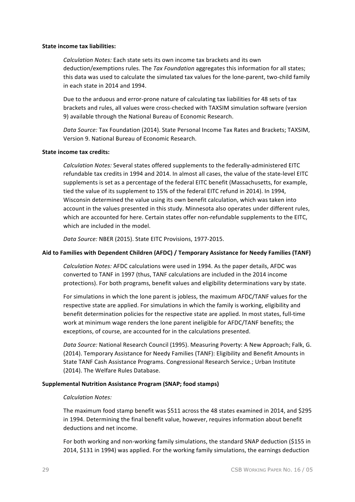#### **State income tax liabilities:**

*Calculation Notes:* Each state sets its own income tax brackets and its own deduction/exemptions rules. The Tax Foundation aggregates this information for all states; this data was used to calculate the simulated tax values for the lone-parent, two-child family in each state in 2014 and 1994.

Due to the arduous and error-prone nature of calculating tax liabilities for 48 sets of tax brackets and rules, all values were cross-checked with TAXSIM simulation software (version 9) available through the National Bureau of Economic Research.

Data Source: Tax Foundation (2014). State Personal Income Tax Rates and Brackets; TAXSIM, Version 9. National Bureau of Economic Research.

#### **State income tax credits:**

*Calculation Notes:* Several states offered supplements to the federally-administered EITC refundable tax credits in 1994 and 2014. In almost all cases, the value of the state-level EITC supplements is set as a percentage of the federal EITC benefit (Massachusetts, for example, tied the value of its supplement to 15% of the federal EITC refund in 2014). In 1994, Wisconsin determined the value using its own benefit calculation, which was taken into account in the values presented in this study. Minnesota also operates under different rules, which are accounted for here. Certain states offer non-refundable supplements to the EITC, which are included in the model.

Data Source: NBER (2015). State EITC Provisions, 1977-2015.

#### Aid to Families with Dependent Children (AFDC) / Temporary Assistance for Needy Families (TANF)

*Calculation Notes:* AFDC calculations were used in 1994. As the paper details, AFDC was converted to TANF in 1997 (thus, TANF calculations are included in the 2014 income protections). For both programs, benefit values and eligibility determinations vary by state.

For simulations in which the lone parent is jobless, the maximum AFDC/TANF values for the respective state are applied. For simulations in which the family is working, eligibility and benefit determination policies for the respective state are applied. In most states, full-time work at minimum wage renders the lone parent ineligible for AFDC/TANF benefits; the exceptions, of course, are accounted for in the calculations presented.

Data Source: National Research Council (1995). Measuring Poverty: A New Approach; Falk, G. (2014). Temporary Assistance for Needy Families (TANF): Eligibility and Benefit Amounts in State TANF Cash Assistance Programs. Congressional Research Service.; Urban Institute (2014). The Welfare Rules Database.

#### **Supplemental Nutrition Assistance Program (SNAP; food stamps)**

#### *Calculation Notes:*

The maximum food stamp benefit was \$511 across the 48 states examined in 2014, and \$295 in 1994. Determining the final benefit value, however, requires information about benefit deductions and net income.

For both working and non-working family simulations, the standard SNAP deduction (\$155 in 2014, \$131 in 1994) was applied. For the working family simulations, the earnings deduction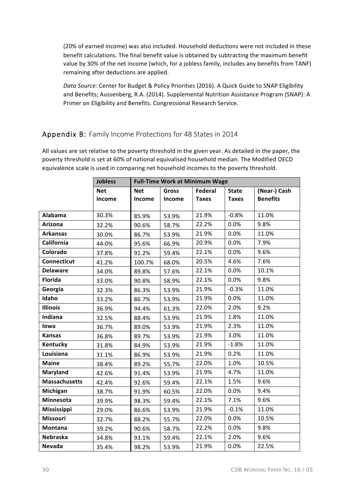(20% of earned income) was also included. Household deductions were not included in these benefit calculations. The final benefit value is obtained by subtracting the maximum benefit value by 30% of the net income (which, for a jobless family, includes any benefits from TANF) remaining after deductions are applied.

Data Source: Center for Budget & Policy Priorities (2016). A Quick Guide to SNAP Eligibility and Benefits; Aussenberg, R.A. (2014). Supplemental Nutrition Assistance Program (SNAP): A Primer on Eligibility and Benefits. Congressional Research Service.

### Appendix B: Family Income Protections for 48 States in 2014

All values are set relative to the poverty threshold in the given year. As detailed in the paper, the poverty threshold is set at 60% of national equivalised household median. The Modified OECD equivalence scale is used in comparing net household incomes to the poverty threshold.

|                      | <b>Jobless</b> | <b>Full-Time Work at Minimum Wage</b> |              |              |              |                 |
|----------------------|----------------|---------------------------------------|--------------|--------------|--------------|-----------------|
|                      | <b>Net</b>     | <b>Net</b>                            | <b>Gross</b> | Federal      | <b>State</b> | (Near-) Cash    |
|                      | Income         | Income                                | Income       | <b>Taxes</b> | <b>Taxes</b> | <b>Benefits</b> |
| Alabama              | 30.3%          | 85.9%                                 | 53.9%        | 21.9%        | $-0.8%$      | 11.0%           |
| Arizona              |                |                                       |              | 22.2%        | 0.0%         | 9.8%            |
|                      | 32.2%          | 90.6%                                 | 58.7%        |              | 0.0%         | 11.0%           |
| <b>Arkansas</b>      | 30.0%          | 86.7%                                 | 53.9%        | 21.9%        |              |                 |
| California           | 44.0%          | 95.6%                                 | 66.9%        | 20.9%        | 0.0%         | 7.9%            |
| Colorado             | 37.8%          | 91.2%                                 | 59.4%        | 22.1%        | 0.0%         | 9.6%            |
| <b>Connecticut</b>   | 41.2%          | 100.7%                                | 68.0%        | 20.5%        | 4.6%         | 7.6%            |
| <b>Delaware</b>      | 34.0%          | 89.8%                                 | 57.6%        | 22.1%        | 0.0%         | 10.1%           |
| <b>Florida</b>       | 33.0%          | 90.8%                                 | 58.9%        | 22.1%        | 0.0%         | 9.8%            |
| Georgia              | 32.3%          | 86.3%                                 | 53.9%        | 21.9%        | $-0.3%$      | 11.0%           |
| Idaho                | 33.2%          | 86.7%                                 | 53.9%        | 21.9%        | 0.0%         | 11.0%           |
| <b>Illinois</b>      | 36.9%          | 94.4%                                 | 61.3%        | 22.0%        | 2.0%         | 9.2%            |
| Indiana              | 32.5%          | 88.4%                                 | 53.9%        | 21.9%        | 1.8%         | 11.0%           |
| lowa                 | 36.7%          | 89.0%                                 | 53.9%        | 21.9%        | 2.3%         | 11.0%           |
| <b>Kansas</b>        | 36.8%          | 89.7%                                 | 53.9%        | 21.9%        | 3.0%         | 11.0%           |
| Kentucky             | 31.8%          | 84.9%                                 | 53.9%        | 21.9%        | $-1.8%$      | 11.0%           |
| Louisiana            | 31.1%          | 86.9%                                 | 53.9%        | 21.9%        | 0.2%         | 11.0%           |
| <b>Maine</b>         | 38.4%          | 89.2%                                 | 55.7%        | 22.0%        | 1.0%         | 10.5%           |
| Maryland             | 42.6%          | 91.4%                                 | 53.9%        | 21.9%        | 4.7%         | 11.0%           |
| <b>Massachusetts</b> | 42.4%          | 92.6%                                 | 59.4%        | 22.1%        | 1.5%         | 9.6%            |
| Michigan             | 38.7%          | 91.9%                                 | 60.5%        | 22.0%        | 0.0%         | 9.4%            |
| Minnesota            | 39.9%          | 98.3%                                 | 59.4%        | 22.1%        | 7.1%         | 9.6%            |
| <b>Mississippi</b>   | 29.0%          | 86.6%                                 | 53.9%        | 21.9%        | $-0.1%$      | 11.0%           |
| <b>Missouri</b>      | 32.7%          | 88.2%                                 | 55.7%        | 22.0%        | 0.0%         | 10.5%           |
| Montana              | 39.2%          | 90.6%                                 | 58.7%        | 22.2%        | 0.0%         | 9.8%            |
| Nebraska             | 34.8%          | 93.1%                                 | 59.4%        | 22.1%        | 2.0%         | 9.6%            |
| <b>Nevada</b>        | 35.4%          | 98.2%                                 | 53.9%        | 21.9%        | 0.0%         | 22.5%           |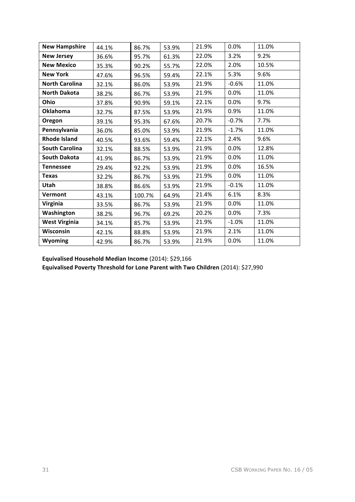| <b>New Hampshire</b>  | 44.1% | 86.7%  | 53.9% | 21.9% | 0.0%    | 11.0% |
|-----------------------|-------|--------|-------|-------|---------|-------|
| <b>New Jersey</b>     | 36.6% | 95.7%  | 61.3% | 22.0% | 3.2%    | 9.2%  |
| <b>New Mexico</b>     | 35.3% | 90.2%  | 55.7% | 22.0% | 2.0%    | 10.5% |
| <b>New York</b>       | 47.6% | 96.5%  | 59.4% | 22.1% | 5.3%    | 9.6%  |
| <b>North Carolina</b> | 32.1% | 86.0%  | 53.9% | 21.9% | $-0.6%$ | 11.0% |
| <b>North Dakota</b>   | 38.2% | 86.7%  | 53.9% | 21.9% | 0.0%    | 11.0% |
| Ohio                  | 37.8% | 90.9%  | 59.1% | 22.1% | 0.0%    | 9.7%  |
| <b>Oklahoma</b>       | 32.7% | 87.5%  | 53.9% | 21.9% | 0.9%    | 11.0% |
| Oregon                | 39.1% | 95.3%  | 67.6% | 20.7% | $-0.7%$ | 7.7%  |
| Pennsylvania          | 36.0% | 85.0%  | 53.9% | 21.9% | $-1.7%$ | 11.0% |
| <b>Rhode Island</b>   | 40.5% | 93.6%  | 59.4% | 22.1% | 2.4%    | 9.6%  |
| <b>South Carolina</b> | 32.1% | 88.5%  | 53.9% | 21.9% | 0.0%    | 12.8% |
| <b>South Dakota</b>   | 41.9% | 86.7%  | 53.9% | 21.9% | 0.0%    | 11.0% |
| <b>Tennessee</b>      | 29.4% | 92.2%  | 53.9% | 21.9% | 0.0%    | 16.5% |
| <b>Texas</b>          | 32.2% | 86.7%  | 53.9% | 21.9% | 0.0%    | 11.0% |
| Utah                  | 38.8% | 86.6%  | 53.9% | 21.9% | $-0.1%$ | 11.0% |
| Vermont               | 43.1% | 100.7% | 64.9% | 21.4% | 6.1%    | 8.3%  |
| Virginia              | 33.5% | 86.7%  | 53.9% | 21.9% | 0.0%    | 11.0% |
| Washington            | 38.2% | 96.7%  | 69.2% | 20.2% | 0.0%    | 7.3%  |
| <b>West Virginia</b>  | 34.1% | 85.7%  | 53.9% | 21.9% | $-1.0%$ | 11.0% |
| Wisconsin             | 42.1% | 88.8%  | 53.9% | 21.9% | 2.1%    | 11.0% |
| <b>Wyoming</b>        | 42.9% | 86.7%  | 53.9% | 21.9% | 0.0%    | 11.0% |

**Equivalised Household Median Income** (2014): \$29,166

Equivalised Poverty Threshold for Lone Parent with Two Children (2014): \$27,990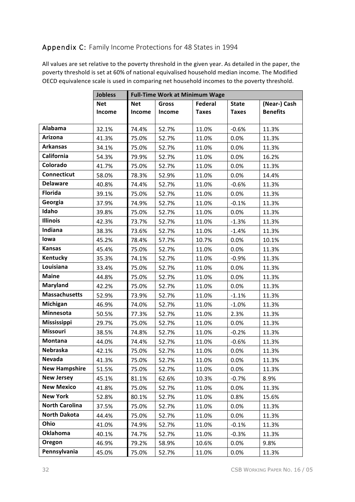# Appendix C: Family Income Protections for 48 States in 1994

All values are set relative to the poverty threshold in the given year. As detailed in the paper, the poverty threshold is set at 60% of national equivalised household median income. The Modified OECD equivalence scale is used in comparing net household incomes to the poverty threshold.

|                       | <b>Jobless</b> | <b>Full-Time Work at Minimum Wage</b> |              |                |              |                 |  |
|-----------------------|----------------|---------------------------------------|--------------|----------------|--------------|-----------------|--|
|                       | <b>Net</b>     | <b>Net</b>                            | <b>Gross</b> | <b>Federal</b> | <b>State</b> | (Near-) Cash    |  |
|                       | Income         | Income                                | Income       | <b>Taxes</b>   | <b>Taxes</b> | <b>Benefits</b> |  |
|                       |                |                                       |              |                |              |                 |  |
| Alabama               | 32.1%          | 74.4%                                 | 52.7%        | 11.0%          | $-0.6%$      | 11.3%           |  |
| Arizona               | 41.3%          | 75.0%                                 | 52.7%        | 11.0%          | 0.0%         | 11.3%           |  |
| <b>Arkansas</b>       | 34.1%          | 75.0%                                 | 52.7%        | 11.0%          | 0.0%         | 11.3%           |  |
| California            | 54.3%          | 79.9%                                 | 52.7%        | 11.0%          | 0.0%         | 16.2%           |  |
| Colorado              | 41.7%          | 75.0%                                 | 52.7%        | 11.0%          | 0.0%         | 11.3%           |  |
| Connecticut           | 58.0%          | 78.3%                                 | 52.9%        | 11.0%          | 0.0%         | 14.4%           |  |
| <b>Delaware</b>       | 40.8%          | 74.4%                                 | 52.7%        | 11.0%          | $-0.6%$      | 11.3%           |  |
| <b>Florida</b>        | 39.1%          | 75.0%                                 | 52.7%        | 11.0%          | 0.0%         | 11.3%           |  |
| Georgia               | 37.9%          | 74.9%                                 | 52.7%        | 11.0%          | $-0.1%$      | 11.3%           |  |
| Idaho                 | 39.8%          | 75.0%                                 | 52.7%        | 11.0%          | 0.0%         | 11.3%           |  |
| <b>Illinois</b>       | 42.3%          | 73.7%                                 | 52.7%        | 11.0%          | $-1.3%$      | 11.3%           |  |
| Indiana               | 38.3%          | 73.6%                                 | 52.7%        | 11.0%          | $-1.4%$      | 11.3%           |  |
| lowa                  | 45.2%          | 78.4%                                 | 57.7%        | 10.7%          | 0.0%         | 10.1%           |  |
| <b>Kansas</b>         | 45.4%          | 75.0%                                 | 52.7%        | 11.0%          | 0.0%         | 11.3%           |  |
| Kentucky              | 35.3%          | 74.1%                                 | 52.7%        | 11.0%          | $-0.9%$      | 11.3%           |  |
| Louisiana             | 33.4%          | 75.0%                                 | 52.7%        | 11.0%          | 0.0%         | 11.3%           |  |
| <b>Maine</b>          | 44.8%          | 75.0%                                 | 52.7%        | 11.0%          | 0.0%         | 11.3%           |  |
| Maryland              | 42.2%          | 75.0%                                 | 52.7%        | 11.0%          | 0.0%         | 11.3%           |  |
| <b>Massachusetts</b>  | 52.9%          | 73.9%                                 | 52.7%        | 11.0%          | $-1.1%$      | 11.3%           |  |
| Michigan              | 46.9%          | 74.0%                                 | 52.7%        | 11.0%          | $-1.0%$      | 11.3%           |  |
| Minnesota             | 50.5%          | 77.3%                                 | 52.7%        | 11.0%          | 2.3%         | 11.3%           |  |
| <b>Mississippi</b>    | 29.7%          | 75.0%                                 | 52.7%        | 11.0%          | 0.0%         | 11.3%           |  |
| Missouri              | 38.5%          | 74.8%                                 | 52.7%        | 11.0%          | $-0.2%$      | 11.3%           |  |
| Montana               | 44.0%          | 74.4%                                 | 52.7%        | 11.0%          | $-0.6%$      | 11.3%           |  |
| Nebraska              | 42.1%          | 75.0%                                 | 52.7%        | 11.0%          | 0.0%         | 11.3%           |  |
| Nevada                | 41.3%          | 75.0%                                 | 52.7%        | 11.0%          | 0.0%         | 11.3%           |  |
| <b>New Hampshire</b>  | 51.5%          | 75.0%                                 | 52.7%        | 11.0%          | 0.0%         | 11.3%           |  |
| <b>New Jersey</b>     | 45.1%          | 81.1%                                 | 62.6%        | 10.3%          | $-0.7%$      | 8.9%            |  |
| <b>New Mexico</b>     | 41.8%          | 75.0%                                 | 52.7%        | 11.0%          | 0.0%         | 11.3%           |  |
| <b>New York</b>       | 52.8%          | 80.1%                                 | 52.7%        | 11.0%          | 0.8%         | 15.6%           |  |
| <b>North Carolina</b> | 37.5%          | 75.0%                                 | 52.7%        | 11.0%          | 0.0%         | 11.3%           |  |
| <b>North Dakota</b>   | 44.4%          | 75.0%                                 | 52.7%        | 11.0%          | 0.0%         | 11.3%           |  |
| Ohio                  | 41.0%          | 74.9%                                 | 52.7%        | 11.0%          | $-0.1%$      | 11.3%           |  |
| <b>Oklahoma</b>       | 40.1%          | 74.7%                                 | 52.7%        | 11.0%          | $-0.3%$      | 11.3%           |  |
| Oregon                | 46.9%          | 79.2%                                 | 58.9%        | 10.6%          | 0.0%         | 9.8%            |  |
| Pennsylvania          | 45.0%          | 75.0%                                 | 52.7%        | 11.0%          | 0.0%         | 11.3%           |  |